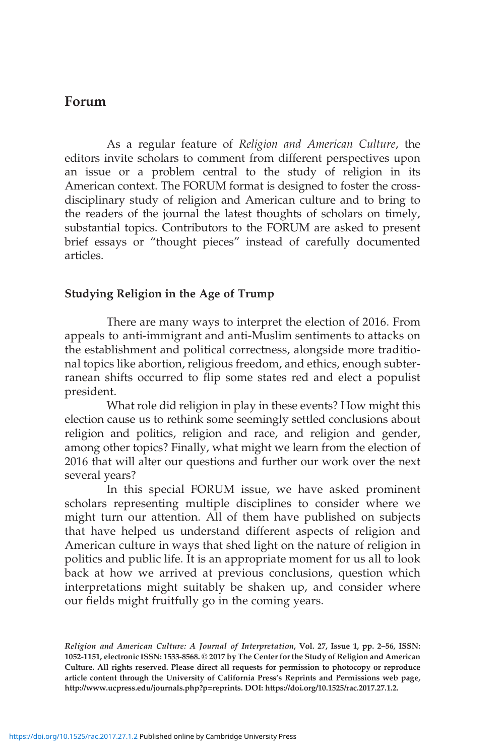# Forum

As a regular feature of Religion and American Culture, the editors invite scholars to comment from different perspectives upon an issue or a problem central to the study of religion in its American context. The FORUM format is designed to foster the crossdisciplinary study of religion and American culture and to bring to the readers of the journal the latest thoughts of scholars on timely, substantial topics. Contributors to the FORUM are asked to present brief essays or "thought pieces" instead of carefully documented articles.

# Studying Religion in the Age of Trump

There are many ways to interpret the election of 2016. From appeals to anti-immigrant and anti-Muslim sentiments to attacks on the establishment and political correctness, alongside more traditional topics like abortion, religious freedom, and ethics, enough subterranean shifts occurred to flip some states red and elect a populist president.

What role did religion in play in these events? How might this election cause us to rethink some seemingly settled conclusions about religion and politics, religion and race, and religion and gender, among other topics? Finally, what might we learn from the election of 2016 that will alter our questions and further our work over the next several years?

In this special FORUM issue, we have asked prominent scholars representing multiple disciplines to consider where we might turn our attention. All of them have published on subjects that have helped us understand different aspects of religion and American culture in ways that shed light on the nature of religion in politics and public life. It is an appropriate moment for us all to look back at how we arrived at previous conclusions, question which interpretations might suitably be shaken up, and consider where our fields might fruitfully go in the coming years.

Religion and American Culture: A Journal of Interpretation, Vol. 27, Issue 1, pp. 2–56, ISSN: 1052-1151, electronic ISSN: 1533-8568. © 2017 by The Center for the Study of Religion and American Culture. All rights reserved. Please direct all requests for permission to photocopy or reproduce article content through the University of California Press's Reprints and Permissions web page, http://www.ucpress.edu/journals.php?p=reprints. DOI: [https://doi.org/10.1525/rac.2017.27.1.2.](https://doi.org/10.1525/rac.2017.27.1.2)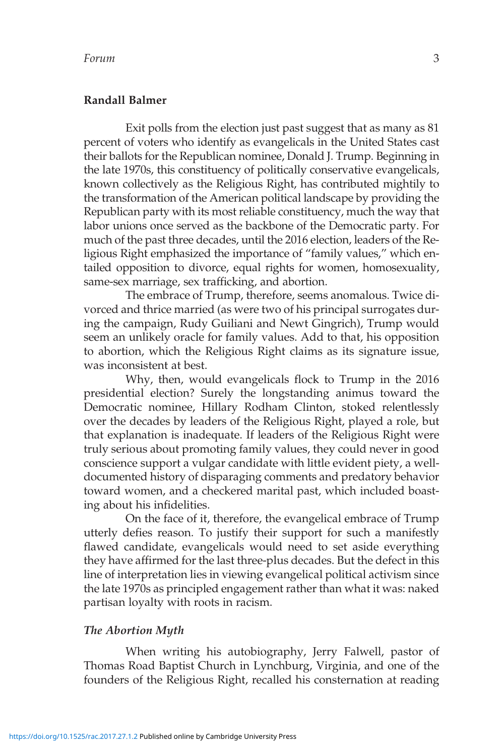# Randall Balmer

Exit polls from the election just past suggest that as many as 81 percent of voters who identify as evangelicals in the United States cast their ballots for the Republican nominee, Donald J. Trump. Beginning in the late 1970s, this constituency of politically conservative evangelicals, known collectively as the Religious Right, has contributed mightily to the transformation of the American political landscape by providing the Republican party with its most reliable constituency, much the way that labor unions once served as the backbone of the Democratic party. For much of the past three decades, until the 2016 election, leaders of the Religious Right emphasized the importance of "family values," which entailed opposition to divorce, equal rights for women, homosexuality, same-sex marriage, sex trafficking, and abortion.

The embrace of Trump, therefore, seems anomalous. Twice divorced and thrice married (as were two of his principal surrogates during the campaign, Rudy Guiliani and Newt Gingrich), Trump would seem an unlikely oracle for family values. Add to that, his opposition to abortion, which the Religious Right claims as its signature issue, was inconsistent at best.

Why, then, would evangelicals flock to Trump in the 2016 presidential election? Surely the longstanding animus toward the Democratic nominee, Hillary Rodham Clinton, stoked relentlessly over the decades by leaders of the Religious Right, played a role, but that explanation is inadequate. If leaders of the Religious Right were truly serious about promoting family values, they could never in good conscience support a vulgar candidate with little evident piety, a welldocumented history of disparaging comments and predatory behavior toward women, and a checkered marital past, which included boasting about his infidelities.

On the face of it, therefore, the evangelical embrace of Trump utterly defies reason. To justify their support for such a manifestly flawed candidate, evangelicals would need to set aside everything they have affirmed for the last three-plus decades. But the defect in this line of interpretation lies in viewing evangelical political activism since the late 1970s as principled engagement rather than what it was: naked partisan loyalty with roots in racism.

#### The Abortion Myth

When writing his autobiography, Jerry Falwell, pastor of Thomas Road Baptist Church in Lynchburg, Virginia, and one of the founders of the Religious Right, recalled his consternation at reading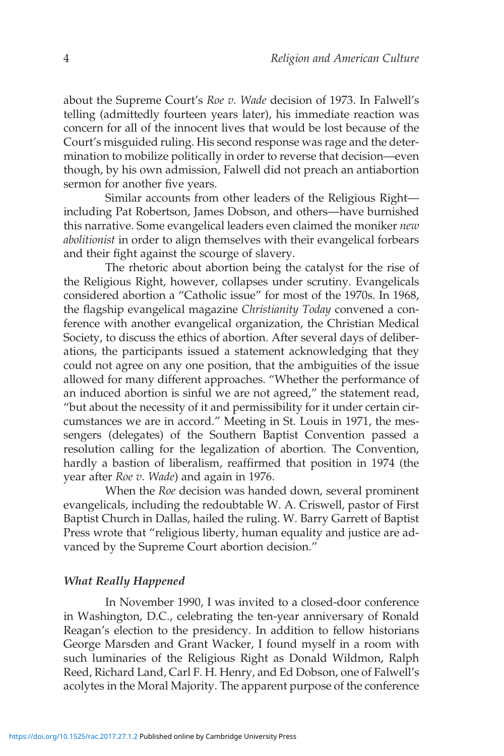about the Supreme Court's Roe v. Wade decision of 1973. In Falwell's telling (admittedly fourteen years later), his immediate reaction was concern for all of the innocent lives that would be lost because of the Court's misguided ruling. His second response was rage and the determination to mobilize politically in order to reverse that decision—even though, by his own admission, Falwell did not preach an antiabortion sermon for another five years.

Similar accounts from other leaders of the Religious Right including Pat Robertson, James Dobson, and others—have burnished this narrative. Some evangelical leaders even claimed the moniker new abolitionist in order to align themselves with their evangelical forbears and their fight against the scourge of slavery.

The rhetoric about abortion being the catalyst for the rise of the Religious Right, however, collapses under scrutiny. Evangelicals considered abortion a "Catholic issue" for most of the 1970s. In 1968, the flagship evangelical magazine Christianity Today convened a conference with another evangelical organization, the Christian Medical Society, to discuss the ethics of abortion. After several days of deliberations, the participants issued a statement acknowledging that they could not agree on any one position, that the ambiguities of the issue allowed for many different approaches. "Whether the performance of an induced abortion is sinful we are not agreed," the statement read, "but about the necessity of it and permissibility for it under certain circumstances we are in accord." Meeting in St. Louis in 1971, the messengers (delegates) of the Southern Baptist Convention passed a resolution calling for the legalization of abortion. The Convention, hardly a bastion of liberalism, reaffirmed that position in 1974 (the year after Roe v. Wade) and again in 1976.

When the Roe decision was handed down, several prominent evangelicals, including the redoubtable W. A. Criswell, pastor of First Baptist Church in Dallas, hailed the ruling. W. Barry Garrett of Baptist Press wrote that "religious liberty, human equality and justice are advanced by the Supreme Court abortion decision."

### What Really Happened

In November 1990, I was invited to a closed-door conference in Washington, D.C., celebrating the ten-year anniversary of Ronald Reagan's election to the presidency. In addition to fellow historians George Marsden and Grant Wacker, I found myself in a room with such luminaries of the Religious Right as Donald Wildmon, Ralph Reed, Richard Land, Carl F. H. Henry, and Ed Dobson, one of Falwell's acolytes in the Moral Majority. The apparent purpose of the conference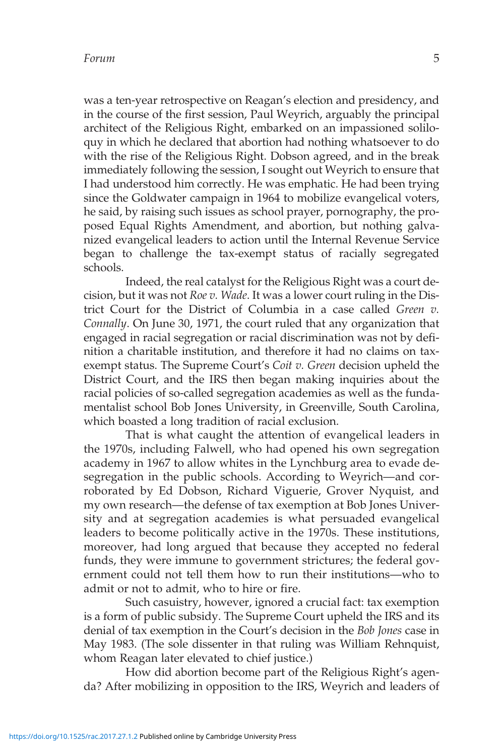was a ten-year retrospective on Reagan's election and presidency, and in the course of the first session, Paul Weyrich, arguably the principal architect of the Religious Right, embarked on an impassioned soliloquy in which he declared that abortion had nothing whatsoever to do with the rise of the Religious Right. Dobson agreed, and in the break immediately following the session, I sought out Weyrich to ensure that I had understood him correctly. He was emphatic. He had been trying since the Goldwater campaign in 1964 to mobilize evangelical voters, he said, by raising such issues as school prayer, pornography, the proposed Equal Rights Amendment, and abortion, but nothing galvanized evangelical leaders to action until the Internal Revenue Service began to challenge the tax-exempt status of racially segregated schools.

Indeed, the real catalyst for the Religious Right was a court decision, but it was not Roe v. Wade. It was a lower court ruling in the District Court for the District of Columbia in a case called Green v. Connally. On June 30, 1971, the court ruled that any organization that engaged in racial segregation or racial discrimination was not by definition a charitable institution, and therefore it had no claims on taxexempt status. The Supreme Court's Coit v. Green decision upheld the District Court, and the IRS then began making inquiries about the racial policies of so-called segregation academies as well as the fundamentalist school Bob Jones University, in Greenville, South Carolina, which boasted a long tradition of racial exclusion.

That is what caught the attention of evangelical leaders in the 1970s, including Falwell, who had opened his own segregation academy in 1967 to allow whites in the Lynchburg area to evade desegregation in the public schools. According to Weyrich—and corroborated by Ed Dobson, Richard Viguerie, Grover Nyquist, and my own research—the defense of tax exemption at Bob Jones University and at segregation academies is what persuaded evangelical leaders to become politically active in the 1970s. These institutions, moreover, had long argued that because they accepted no federal funds, they were immune to government strictures; the federal government could not tell them how to run their institutions—who to admit or not to admit, who to hire or fire.

Such casuistry, however, ignored a crucial fact: tax exemption is a form of public subsidy. The Supreme Court upheld the IRS and its denial of tax exemption in the Court's decision in the Bob Jones case in May 1983. (The sole dissenter in that ruling was William Rehnquist, whom Reagan later elevated to chief justice.)

How did abortion become part of the Religious Right's agenda? After mobilizing in opposition to the IRS, Weyrich and leaders of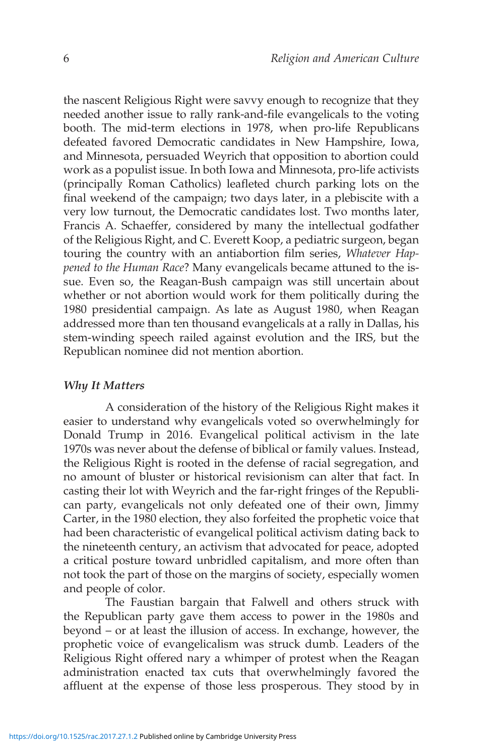the nascent Religious Right were savvy enough to recognize that they needed another issue to rally rank-and-file evangelicals to the voting booth. The mid-term elections in 1978, when pro-life Republicans defeated favored Democratic candidates in New Hampshire, Iowa, and Minnesota, persuaded Weyrich that opposition to abortion could work as a populist issue. In both Iowa and Minnesota, pro-life activists (principally Roman Catholics) leafleted church parking lots on the final weekend of the campaign; two days later, in a plebiscite with a very low turnout, the Democratic candidates lost. Two months later, Francis A. Schaeffer, considered by many the intellectual godfather of the Religious Right, and C. Everett Koop, a pediatric surgeon, began touring the country with an antiabortion film series, Whatever Happened to the Human Race? Many evangelicals became attuned to the issue. Even so, the Reagan-Bush campaign was still uncertain about whether or not abortion would work for them politically during the 1980 presidential campaign. As late as August 1980, when Reagan addressed more than ten thousand evangelicals at a rally in Dallas, his stem-winding speech railed against evolution and the IRS, but the Republican nominee did not mention abortion.

#### Why It Matters

A consideration of the history of the Religious Right makes it easier to understand why evangelicals voted so overwhelmingly for Donald Trump in 2016. Evangelical political activism in the late 1970s was never about the defense of biblical or family values. Instead, the Religious Right is rooted in the defense of racial segregation, and no amount of bluster or historical revisionism can alter that fact. In casting their lot with Weyrich and the far-right fringes of the Republican party, evangelicals not only defeated one of their own, Jimmy Carter, in the 1980 election, they also forfeited the prophetic voice that had been characteristic of evangelical political activism dating back to the nineteenth century, an activism that advocated for peace, adopted a critical posture toward unbridled capitalism, and more often than not took the part of those on the margins of society, especially women and people of color.

The Faustian bargain that Falwell and others struck with the Republican party gave them access to power in the 1980s and beyond – or at least the illusion of access. In exchange, however, the prophetic voice of evangelicalism was struck dumb. Leaders of the Religious Right offered nary a whimper of protest when the Reagan administration enacted tax cuts that overwhelmingly favored the affluent at the expense of those less prosperous. They stood by in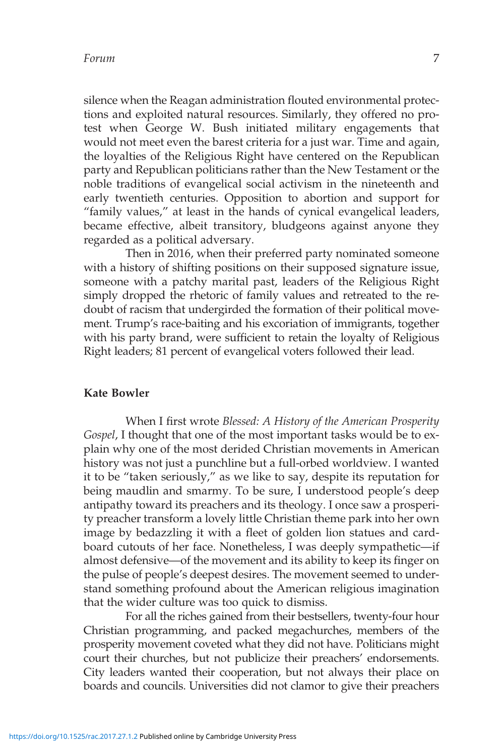silence when the Reagan administration flouted environmental protections and exploited natural resources. Similarly, they offered no protest when George W. Bush initiated military engagements that would not meet even the barest criteria for a just war. Time and again, the loyalties of the Religious Right have centered on the Republican party and Republican politicians rather than the New Testament or the noble traditions of evangelical social activism in the nineteenth and early twentieth centuries. Opposition to abortion and support for "family values," at least in the hands of cynical evangelical leaders, became effective, albeit transitory, bludgeons against anyone they regarded as a political adversary.

Then in 2016, when their preferred party nominated someone with a history of shifting positions on their supposed signature issue, someone with a patchy marital past, leaders of the Religious Right simply dropped the rhetoric of family values and retreated to the redoubt of racism that undergirded the formation of their political movement. Trump's race-baiting and his excoriation of immigrants, together with his party brand, were sufficient to retain the loyalty of Religious Right leaders; 81 percent of evangelical voters followed their lead.

### Kate Bowler

When I first wrote Blessed: A History of the American Prosperity Gospel, I thought that one of the most important tasks would be to explain why one of the most derided Christian movements in American history was not just a punchline but a full-orbed worldview. I wanted it to be "taken seriously," as we like to say, despite its reputation for being maudlin and smarmy. To be sure, I understood people's deep antipathy toward its preachers and its theology. I once saw a prosperity preacher transform a lovely little Christian theme park into her own image by bedazzling it with a fleet of golden lion statues and cardboard cutouts of her face. Nonetheless, I was deeply sympathetic—if almost defensive—of the movement and its ability to keep its finger on the pulse of people's deepest desires. The movement seemed to understand something profound about the American religious imagination that the wider culture was too quick to dismiss.

For all the riches gained from their bestsellers, twenty-four hour Christian programming, and packed megachurches, members of the prosperity movement coveted what they did not have. Politicians might court their churches, but not publicize their preachers' endorsements. City leaders wanted their cooperation, but not always their place on boards and councils. Universities did not clamor to give their preachers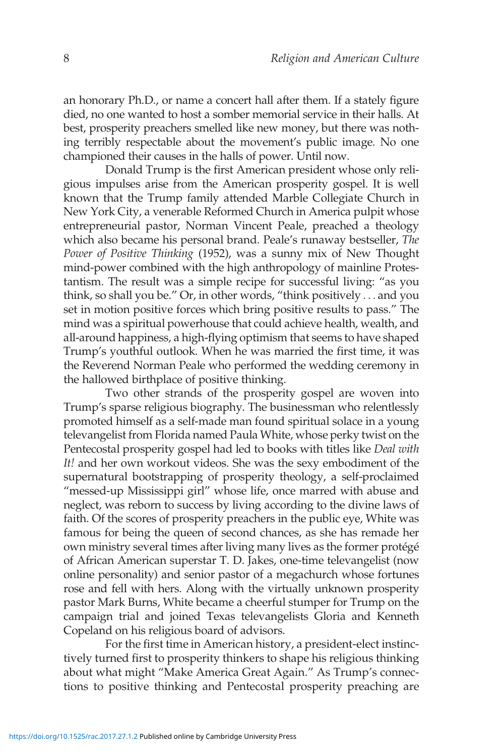an honorary Ph.D., or name a concert hall after them. If a stately figure died, no one wanted to host a somber memorial service in their halls. At best, prosperity preachers smelled like new money, but there was nothing terribly respectable about the movement's public image. No one championed their causes in the halls of power. Until now.

Donald Trump is the first American president whose only religious impulses arise from the American prosperity gospel. It is well known that the Trump family attended Marble Collegiate Church in New York City, a venerable Reformed Church in America pulpit whose entrepreneurial pastor, Norman Vincent Peale, preached a theology which also became his personal brand. Peale's runaway bestseller, The Power of Positive Thinking (1952), was a sunny mix of New Thought mind-power combined with the high anthropology of mainline Protestantism. The result was a simple recipe for successful living: "as you think, so shall you be." Or, in other words, "think positively ... and you set in motion positive forces which bring positive results to pass." The mind was a spiritual powerhouse that could achieve health, wealth, and all-around happiness, a high-flying optimism that seems to have shaped Trump's youthful outlook. When he was married the first time, it was the Reverend Norman Peale who performed the wedding ceremony in the hallowed birthplace of positive thinking.

Two other strands of the prosperity gospel are woven into Trump's sparse religious biography. The businessman who relentlessly promoted himself as a self-made man found spiritual solace in a young televangelist from Florida named Paula White, whose perky twist on the Pentecostal prosperity gospel had led to books with titles like Deal with It! and her own workout videos. She was the sexy embodiment of the supernatural bootstrapping of prosperity theology, a self-proclaimed "messed-up Mississippi girl" whose life, once marred with abuse and neglect, was reborn to success by living according to the divine laws of faith. Of the scores of prosperity preachers in the public eye, White was famous for being the queen of second chances, as she has remade her own ministry several times after living many lives as the former protégé of African American superstar T. D. Jakes, one-time televangelist (now online personality) and senior pastor of a megachurch whose fortunes rose and fell with hers. Along with the virtually unknown prosperity pastor Mark Burns, White became a cheerful stumper for Trump on the campaign trial and joined Texas televangelists Gloria and Kenneth Copeland on his religious board of advisors.

For the first time in American history, a president-elect instinctively turned first to prosperity thinkers to shape his religious thinking about what might "Make America Great Again." As Trump's connections to positive thinking and Pentecostal prosperity preaching are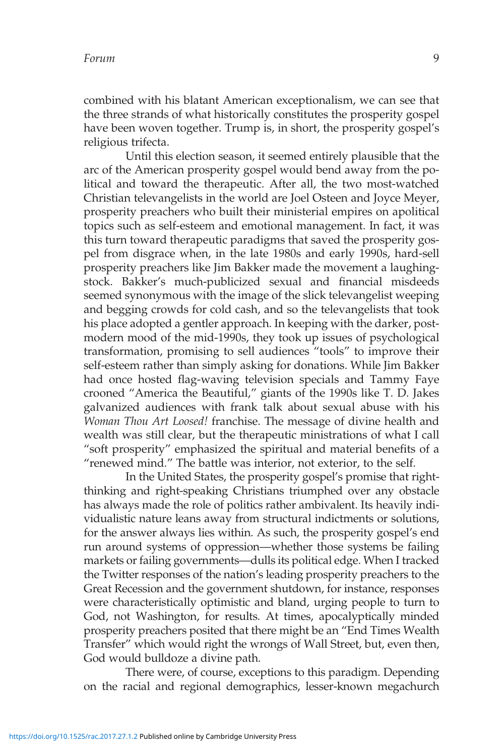combined with his blatant American exceptionalism, we can see that the three strands of what historically constitutes the prosperity gospel have been woven together. Trump is, in short, the prosperity gospel's religious trifecta.

Until this election season, it seemed entirely plausible that the arc of the American prosperity gospel would bend away from the political and toward the therapeutic. After all, the two most-watched Christian televangelists in the world are Joel Osteen and Joyce Meyer, prosperity preachers who built their ministerial empires on apolitical topics such as self-esteem and emotional management. In fact, it was this turn toward therapeutic paradigms that saved the prosperity gospel from disgrace when, in the late 1980s and early 1990s, hard-sell prosperity preachers like Jim Bakker made the movement a laughingstock. Bakker's much-publicized sexual and financial misdeeds seemed synonymous with the image of the slick televangelist weeping and begging crowds for cold cash, and so the televangelists that took his place adopted a gentler approach. In keeping with the darker, postmodern mood of the mid-1990s, they took up issues of psychological transformation, promising to sell audiences "tools" to improve their self-esteem rather than simply asking for donations. While Jim Bakker had once hosted flag-waving television specials and Tammy Faye crooned "America the Beautiful," giants of the 1990s like T. D. Jakes galvanized audiences with frank talk about sexual abuse with his Woman Thou Art Loosed! franchise. The message of divine health and wealth was still clear, but the therapeutic ministrations of what I call "soft prosperity" emphasized the spiritual and material benefits of a "renewed mind." The battle was interior, not exterior, to the self.

In the United States, the prosperity gospel's promise that rightthinking and right-speaking Christians triumphed over any obstacle has always made the role of politics rather ambivalent. Its heavily individualistic nature leans away from structural indictments or solutions, for the answer always lies within. As such, the prosperity gospel's end run around systems of oppression—whether those systems be failing markets or failing governments—dulls its political edge. When I tracked the Twitter responses of the nation's leading prosperity preachers to the Great Recession and the government shutdown, for instance, responses were characteristically optimistic and bland, urging people to turn to God, not Washington, for results. At times, apocalyptically minded prosperity preachers posited that there might be an "End Times Wealth Transfer" which would right the wrongs of Wall Street, but, even then, God would bulldoze a divine path.

There were, of course, exceptions to this paradigm. Depending on the racial and regional demographics, lesser-known megachurch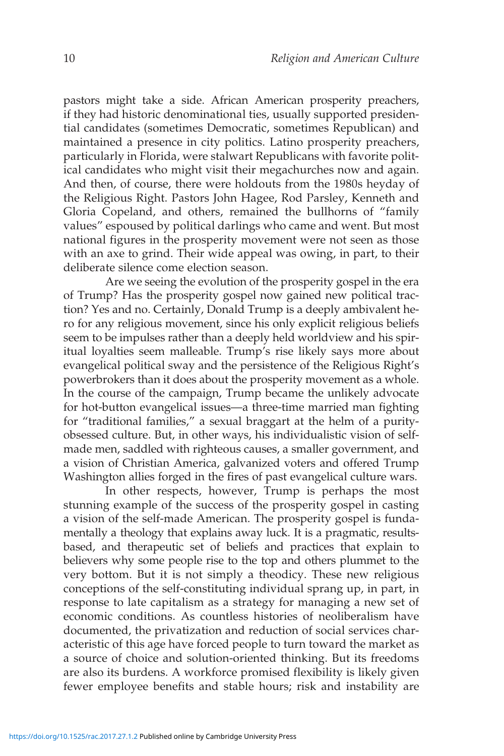pastors might take a side. African American prosperity preachers, if they had historic denominational ties, usually supported presidential candidates (sometimes Democratic, sometimes Republican) and maintained a presence in city politics. Latino prosperity preachers, particularly in Florida, were stalwart Republicans with favorite political candidates who might visit their megachurches now and again. And then, of course, there were holdouts from the 1980s heyday of the Religious Right. Pastors John Hagee, Rod Parsley, Kenneth and Gloria Copeland, and others, remained the bullhorns of "family values" espoused by political darlings who came and went. But most national figures in the prosperity movement were not seen as those with an axe to grind. Their wide appeal was owing, in part, to their deliberate silence come election season.

Are we seeing the evolution of the prosperity gospel in the era of Trump? Has the prosperity gospel now gained new political traction? Yes and no. Certainly, Donald Trump is a deeply ambivalent hero for any religious movement, since his only explicit religious beliefs seem to be impulses rather than a deeply held worldview and his spiritual loyalties seem malleable. Trump's rise likely says more about evangelical political sway and the persistence of the Religious Right's powerbrokers than it does about the prosperity movement as a whole. In the course of the campaign, Trump became the unlikely advocate for hot-button evangelical issues—a three-time married man fighting for "traditional families," a sexual braggart at the helm of a purityobsessed culture. But, in other ways, his individualistic vision of selfmade men, saddled with righteous causes, a smaller government, and a vision of Christian America, galvanized voters and offered Trump Washington allies forged in the fires of past evangelical culture wars.

In other respects, however, Trump is perhaps the most stunning example of the success of the prosperity gospel in casting a vision of the self-made American. The prosperity gospel is fundamentally a theology that explains away luck. It is a pragmatic, resultsbased, and therapeutic set of beliefs and practices that explain to believers why some people rise to the top and others plummet to the very bottom. But it is not simply a theodicy. These new religious conceptions of the self-constituting individual sprang up, in part, in response to late capitalism as a strategy for managing a new set of economic conditions. As countless histories of neoliberalism have documented, the privatization and reduction of social services characteristic of this age have forced people to turn toward the market as a source of choice and solution-oriented thinking. But its freedoms are also its burdens. A workforce promised flexibility is likely given fewer employee benefits and stable hours; risk and instability are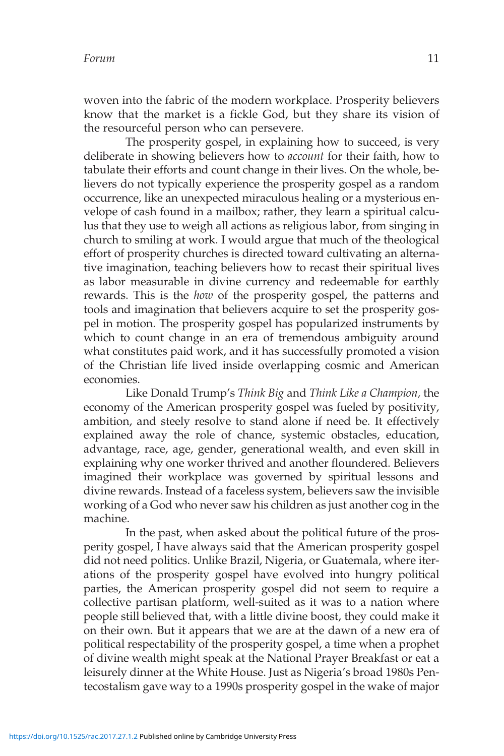woven into the fabric of the modern workplace. Prosperity believers know that the market is a fickle God, but they share its vision of the resourceful person who can persevere.

The prosperity gospel, in explaining how to succeed, is very deliberate in showing believers how to *account* for their faith, how to tabulate their efforts and count change in their lives. On the whole, believers do not typically experience the prosperity gospel as a random occurrence, like an unexpected miraculous healing or a mysterious envelope of cash found in a mailbox; rather, they learn a spiritual calculus that they use to weigh all actions as religious labor, from singing in church to smiling at work. I would argue that much of the theological effort of prosperity churches is directed toward cultivating an alternative imagination, teaching believers how to recast their spiritual lives as labor measurable in divine currency and redeemable for earthly rewards. This is the how of the prosperity gospel, the patterns and tools and imagination that believers acquire to set the prosperity gospel in motion. The prosperity gospel has popularized instruments by which to count change in an era of tremendous ambiguity around what constitutes paid work, and it has successfully promoted a vision of the Christian life lived inside overlapping cosmic and American economies.

Like Donald Trump's Think Big and Think Like a Champion, the economy of the American prosperity gospel was fueled by positivity, ambition, and steely resolve to stand alone if need be. It effectively explained away the role of chance, systemic obstacles, education, advantage, race, age, gender, generational wealth, and even skill in explaining why one worker thrived and another floundered. Believers imagined their workplace was governed by spiritual lessons and divine rewards. Instead of a faceless system, believers saw the invisible working of a God who never saw his children as just another cog in the machine.

In the past, when asked about the political future of the prosperity gospel, I have always said that the American prosperity gospel did not need politics. Unlike Brazil, Nigeria, or Guatemala, where iterations of the prosperity gospel have evolved into hungry political parties, the American prosperity gospel did not seem to require a collective partisan platform, well-suited as it was to a nation where people still believed that, with a little divine boost, they could make it on their own. But it appears that we are at the dawn of a new era of political respectability of the prosperity gospel, a time when a prophet of divine wealth might speak at the National Prayer Breakfast or eat a leisurely dinner at the White House. Just as Nigeria's broad 1980s Pentecostalism gave way to a 1990s prosperity gospel in the wake of major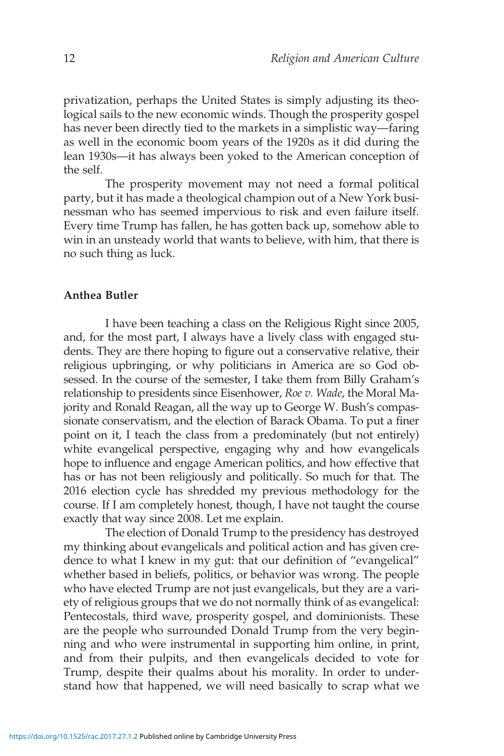privatization, perhaps the United States is simply adjusting its theological sails to the new economic winds. Though the prosperity gospel has never been directly tied to the markets in a simplistic way—faring as well in the economic boom years of the 1920s as it did during the lean 1930s—it has always been yoked to the American conception of the self.

The prosperity movement may not need a formal political party, but it has made a theological champion out of a New York businessman who has seemed impervious to risk and even failure itself. Every time Trump has fallen, he has gotten back up, somehow able to win in an unsteady world that wants to believe, with him, that there is no such thing as luck.

### Anthea Butler

I have been teaching a class on the Religious Right since 2005, and, for the most part, I always have a lively class with engaged students. They are there hoping to figure out a conservative relative, their religious upbringing, or why politicians in America are so God obsessed. In the course of the semester, I take them from Billy Graham's relationship to presidents since Eisenhower, Roe v. Wade, the Moral Majority and Ronald Reagan, all the way up to George W. Bush's compassionate conservatism, and the election of Barack Obama. To put a finer point on it, I teach the class from a predominately (but not entirely) white evangelical perspective, engaging why and how evangelicals hope to influence and engage American politics, and how effective that has or has not been religiously and politically. So much for that. The 2016 election cycle has shredded my previous methodology for the course. If I am completely honest, though, I have not taught the course exactly that way since 2008. Let me explain.

The election of Donald Trump to the presidency has destroyed my thinking about evangelicals and political action and has given credence to what I knew in my gut: that our definition of "evangelical" whether based in beliefs, politics, or behavior was wrong. The people who have elected Trump are not just evangelicals, but they are a variety of religious groups that we do not normally think of as evangelical: Pentecostals, third wave, prosperity gospel, and dominionists. These are the people who surrounded Donald Trump from the very beginning and who were instrumental in supporting him online, in print, and from their pulpits, and then evangelicals decided to vote for Trump, despite their qualms about his morality. In order to understand how that happened, we will need basically to scrap what we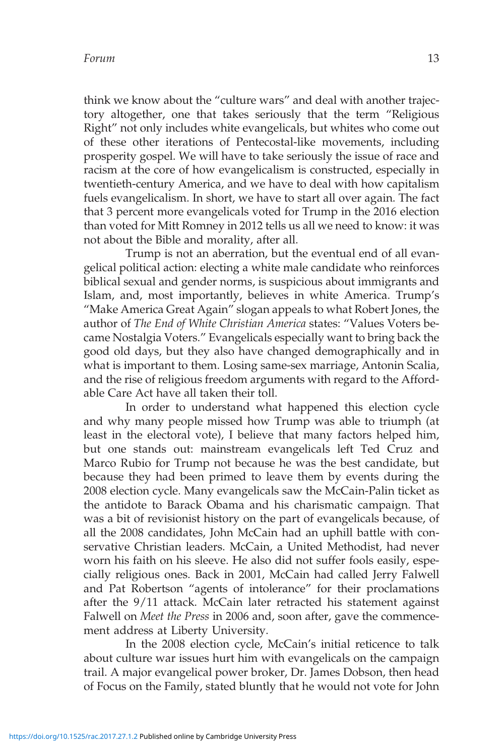think we know about the "culture wars" and deal with another trajectory altogether, one that takes seriously that the term "Religious Right" not only includes white evangelicals, but whites who come out of these other iterations of Pentecostal-like movements, including prosperity gospel. We will have to take seriously the issue of race and racism at the core of how evangelicalism is constructed, especially in twentieth-century America, and we have to deal with how capitalism fuels evangelicalism. In short, we have to start all over again. The fact that 3 percent more evangelicals voted for Trump in the 2016 election than voted for Mitt Romney in 2012 tells us all we need to know: it was not about the Bible and morality, after all.

Trump is not an aberration, but the eventual end of all evangelical political action: electing a white male candidate who reinforces biblical sexual and gender norms, is suspicious about immigrants and Islam, and, most importantly, believes in white America. Trump's "Make America Great Again" slogan appeals to what Robert Jones, the author of The End of White Christian America states: "Values Voters became Nostalgia Voters." Evangelicals especially want to bring back the good old days, but they also have changed demographically and in what is important to them. Losing same-sex marriage, Antonin Scalia, and the rise of religious freedom arguments with regard to the Affordable Care Act have all taken their toll.

In order to understand what happened this election cycle and why many people missed how Trump was able to triumph (at least in the electoral vote), I believe that many factors helped him, but one stands out: mainstream evangelicals left Ted Cruz and Marco Rubio for Trump not because he was the best candidate, but because they had been primed to leave them by events during the 2008 election cycle. Many evangelicals saw the McCain-Palin ticket as the antidote to Barack Obama and his charismatic campaign. That was a bit of revisionist history on the part of evangelicals because, of all the 2008 candidates, John McCain had an uphill battle with conservative Christian leaders. McCain, a United Methodist, had never worn his faith on his sleeve. He also did not suffer fools easily, especially religious ones. Back in 2001, McCain had called Jerry Falwell and Pat Robertson "agents of intolerance" for their proclamations after the 9/11 attack. McCain later retracted his statement against Falwell on Meet the Press in 2006 and, soon after, gave the commencement address at Liberty University.

In the 2008 election cycle, McCain's initial reticence to talk about culture war issues hurt him with evangelicals on the campaign trail. A major evangelical power broker, Dr. James Dobson, then head of Focus on the Family, stated bluntly that he would not vote for John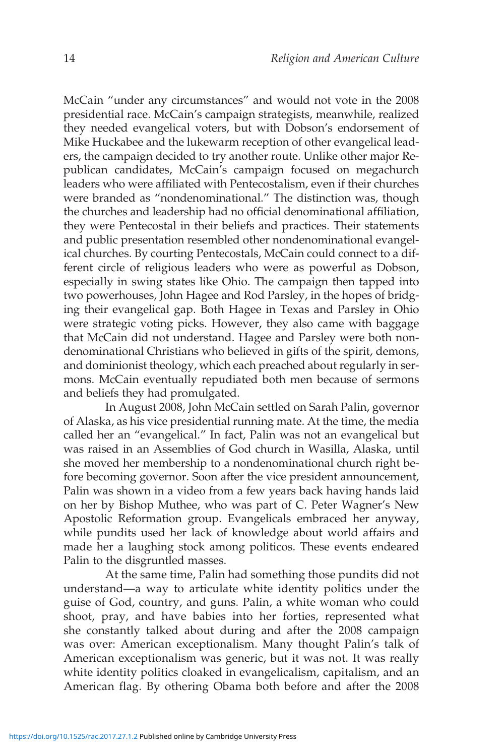McCain "under any circumstances" and would not vote in the 2008 presidential race. McCain's campaign strategists, meanwhile, realized they needed evangelical voters, but with Dobson's endorsement of Mike Huckabee and the lukewarm reception of other evangelical leaders, the campaign decided to try another route. Unlike other major Republican candidates, McCain's campaign focused on megachurch leaders who were affiliated with Pentecostalism, even if their churches were branded as "nondenominational." The distinction was, though the churches and leadership had no official denominational affiliation, they were Pentecostal in their beliefs and practices. Their statements and public presentation resembled other nondenominational evangelical churches. By courting Pentecostals, McCain could connect to a different circle of religious leaders who were as powerful as Dobson, especially in swing states like Ohio. The campaign then tapped into two powerhouses, John Hagee and Rod Parsley, in the hopes of bridging their evangelical gap. Both Hagee in Texas and Parsley in Ohio were strategic voting picks. However, they also came with baggage that McCain did not understand. Hagee and Parsley were both nondenominational Christians who believed in gifts of the spirit, demons, and dominionist theology, which each preached about regularly in sermons. McCain eventually repudiated both men because of sermons and beliefs they had promulgated.

In August 2008, John McCain settled on Sarah Palin, governor of Alaska, as his vice presidential running mate. At the time, the media called her an "evangelical." In fact, Palin was not an evangelical but was raised in an Assemblies of God church in Wasilla, Alaska, until she moved her membership to a nondenominational church right before becoming governor. Soon after the vice president announcement, Palin was shown in a video from a few years back having hands laid on her by Bishop Muthee, who was part of C. Peter Wagner's New Apostolic Reformation group. Evangelicals embraced her anyway, while pundits used her lack of knowledge about world affairs and made her a laughing stock among politicos. These events endeared Palin to the disgruntled masses.

At the same time, Palin had something those pundits did not understand—a way to articulate white identity politics under the guise of God, country, and guns. Palin, a white woman who could shoot, pray, and have babies into her forties, represented what she constantly talked about during and after the 2008 campaign was over: American exceptionalism. Many thought Palin's talk of American exceptionalism was generic, but it was not. It was really white identity politics cloaked in evangelicalism, capitalism, and an American flag. By othering Obama both before and after the 2008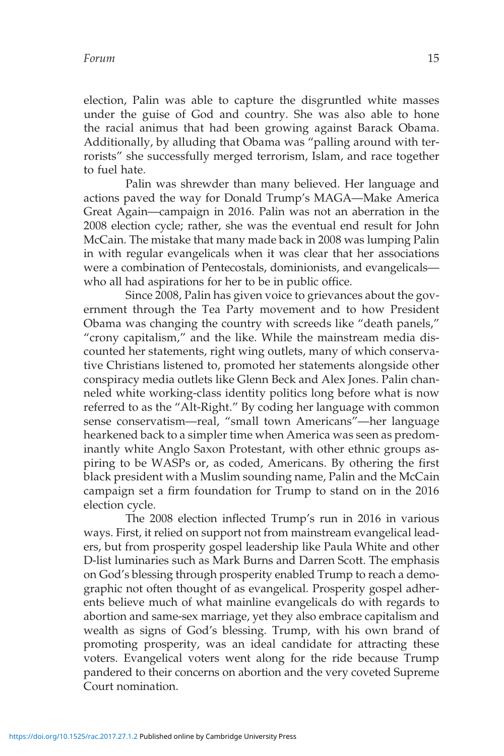election, Palin was able to capture the disgruntled white masses under the guise of God and country. She was also able to hone the racial animus that had been growing against Barack Obama. Additionally, by alluding that Obama was "palling around with terrorists" she successfully merged terrorism, Islam, and race together to fuel hate.

Palin was shrewder than many believed. Her language and actions paved the way for Donald Trump's MAGA—Make America Great Again—campaign in 2016. Palin was not an aberration in the 2008 election cycle; rather, she was the eventual end result for John McCain. The mistake that many made back in 2008 was lumping Palin in with regular evangelicals when it was clear that her associations were a combination of Pentecostals, dominionists, and evangelicals who all had aspirations for her to be in public office.

Since 2008, Palin has given voice to grievances about the government through the Tea Party movement and to how President Obama was changing the country with screeds like "death panels," "crony capitalism," and the like. While the mainstream media discounted her statements, right wing outlets, many of which conservative Christians listened to, promoted her statements alongside other conspiracy media outlets like Glenn Beck and Alex Jones. Palin channeled white working-class identity politics long before what is now referred to as the "Alt-Right." By coding her language with common sense conservatism—real, "small town Americans"—her language hearkened back to a simpler time when America was seen as predominantly white Anglo Saxon Protestant, with other ethnic groups aspiring to be WASPs or, as coded, Americans. By othering the first black president with a Muslim sounding name, Palin and the McCain campaign set a firm foundation for Trump to stand on in the 2016 election cycle.

The 2008 election inflected Trump's run in 2016 in various ways. First, it relied on support not from mainstream evangelical leaders, but from prosperity gospel leadership like Paula White and other D-list luminaries such as Mark Burns and Darren Scott. The emphasis on God's blessing through prosperity enabled Trump to reach a demographic not often thought of as evangelical. Prosperity gospel adherents believe much of what mainline evangelicals do with regards to abortion and same-sex marriage, yet they also embrace capitalism and wealth as signs of God's blessing. Trump, with his own brand of promoting prosperity, was an ideal candidate for attracting these voters. Evangelical voters went along for the ride because Trump pandered to their concerns on abortion and the very coveted Supreme Court nomination.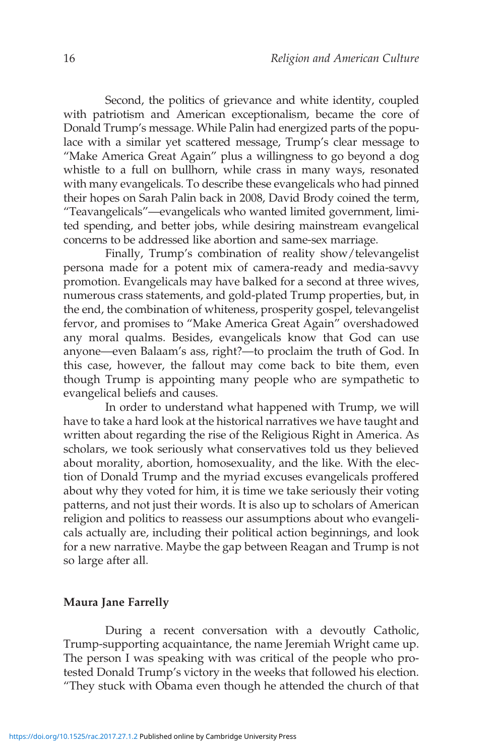Second, the politics of grievance and white identity, coupled with patriotism and American exceptionalism, became the core of Donald Trump's message. While Palin had energized parts of the populace with a similar yet scattered message, Trump's clear message to "Make America Great Again" plus a willingness to go beyond a dog whistle to a full on bullhorn, while crass in many ways, resonated with many evangelicals. To describe these evangelicals who had pinned their hopes on Sarah Palin back in 2008, David Brody coined the term, "Teavangelicals"—evangelicals who wanted limited government, limited spending, and better jobs, while desiring mainstream evangelical concerns to be addressed like abortion and same-sex marriage.

Finally, Trump's combination of reality show/televangelist persona made for a potent mix of camera-ready and media-savvy promotion. Evangelicals may have balked for a second at three wives, numerous crass statements, and gold-plated Trump properties, but, in the end, the combination of whiteness, prosperity gospel, televangelist fervor, and promises to "Make America Great Again" overshadowed any moral qualms. Besides, evangelicals know that God can use anyone—even Balaam's ass, right?—to proclaim the truth of God. In this case, however, the fallout may come back to bite them, even though Trump is appointing many people who are sympathetic to evangelical beliefs and causes.

In order to understand what happened with Trump, we will have to take a hard look at the historical narratives we have taught and written about regarding the rise of the Religious Right in America. As scholars, we took seriously what conservatives told us they believed about morality, abortion, homosexuality, and the like. With the election of Donald Trump and the myriad excuses evangelicals proffered about why they voted for him, it is time we take seriously their voting patterns, and not just their words. It is also up to scholars of American religion and politics to reassess our assumptions about who evangelicals actually are, including their political action beginnings, and look for a new narrative. Maybe the gap between Reagan and Trump is not so large after all.

#### Maura Jane Farrelly

During a recent conversation with a devoutly Catholic, Trump-supporting acquaintance, the name Jeremiah Wright came up. The person I was speaking with was critical of the people who protested Donald Trump's victory in the weeks that followed his election. "They stuck with Obama even though he attended the church of that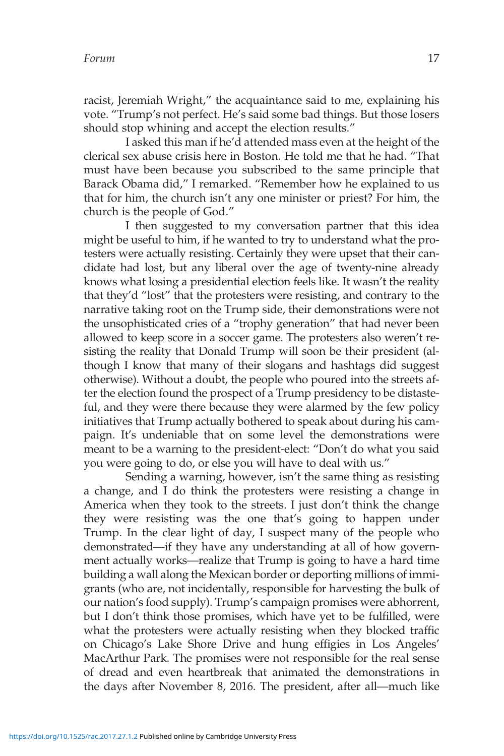racist, Jeremiah Wright," the acquaintance said to me, explaining his vote. "Trump's not perfect. He's said some bad things. But those losers should stop whining and accept the election results."

I asked this man if he'd attended mass even at the height of the clerical sex abuse crisis here in Boston. He told me that he had. "That must have been because you subscribed to the same principle that Barack Obama did," I remarked. "Remember how he explained to us that for him, the church isn't any one minister or priest? For him, the church is the people of God."

I then suggested to my conversation partner that this idea might be useful to him, if he wanted to try to understand what the protesters were actually resisting. Certainly they were upset that their candidate had lost, but any liberal over the age of twenty-nine already knows what losing a presidential election feels like. It wasn't the reality that they'd "lost" that the protesters were resisting, and contrary to the narrative taking root on the Trump side, their demonstrations were not the unsophisticated cries of a "trophy generation" that had never been allowed to keep score in a soccer game. The protesters also weren't resisting the reality that Donald Trump will soon be their president (although I know that many of their slogans and hashtags did suggest otherwise). Without a doubt, the people who poured into the streets after the election found the prospect of a Trump presidency to be distasteful, and they were there because they were alarmed by the few policy initiatives that Trump actually bothered to speak about during his campaign. It's undeniable that on some level the demonstrations were meant to be a warning to the president-elect: "Don't do what you said you were going to do, or else you will have to deal with us."

Sending a warning, however, isn't the same thing as resisting a change, and I do think the protesters were resisting a change in America when they took to the streets. I just don't think the change they were resisting was the one that's going to happen under Trump. In the clear light of day, I suspect many of the people who demonstrated—if they have any understanding at all of how government actually works—realize that Trump is going to have a hard time building a wall along the Mexican border or deporting millions of immigrants (who are, not incidentally, responsible for harvesting the bulk of our nation's food supply). Trump's campaign promises were abhorrent, but I don't think those promises, which have yet to be fulfilled, were what the protesters were actually resisting when they blocked traffic on Chicago's Lake Shore Drive and hung effigies in Los Angeles' MacArthur Park. The promises were not responsible for the real sense of dread and even heartbreak that animated the demonstrations in the days after November 8, 2016. The president, after all—much like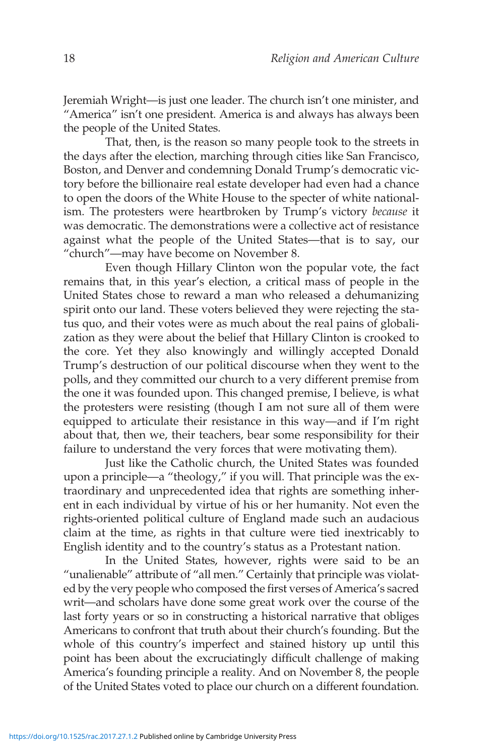Jeremiah Wright—is just one leader. The church isn't one minister, and "America" isn't one president. America is and always has always been the people of the United States.

That, then, is the reason so many people took to the streets in the days after the election, marching through cities like San Francisco, Boston, and Denver and condemning Donald Trump's democratic victory before the billionaire real estate developer had even had a chance to open the doors of the White House to the specter of white nationalism. The protesters were heartbroken by Trump's victory because it was democratic. The demonstrations were a collective act of resistance against what the people of the United States—that is to say, our "church"—may have become on November 8.

Even though Hillary Clinton won the popular vote, the fact remains that, in this year's election, a critical mass of people in the United States chose to reward a man who released a dehumanizing spirit onto our land. These voters believed they were rejecting the status quo, and their votes were as much about the real pains of globalization as they were about the belief that Hillary Clinton is crooked to the core. Yet they also knowingly and willingly accepted Donald Trump's destruction of our political discourse when they went to the polls, and they committed our church to a very different premise from the one it was founded upon. This changed premise, I believe, is what the protesters were resisting (though I am not sure all of them were equipped to articulate their resistance in this way—and if I'm right about that, then we, their teachers, bear some responsibility for their failure to understand the very forces that were motivating them).

Just like the Catholic church, the United States was founded upon a principle—a "theology," if you will. That principle was the extraordinary and unprecedented idea that rights are something inherent in each individual by virtue of his or her humanity. Not even the rights-oriented political culture of England made such an audacious claim at the time, as rights in that culture were tied inextricably to English identity and to the country's status as a Protestant nation.

In the United States, however, rights were said to be an "unalienable" attribute of "all men." Certainly that principle was violated by the very people who composed the first verses of America's sacred writ—and scholars have done some great work over the course of the last forty years or so in constructing a historical narrative that obliges Americans to confront that truth about their church's founding. But the whole of this country's imperfect and stained history up until this point has been about the excruciatingly difficult challenge of making America's founding principle a reality. And on November 8, the people of the United States voted to place our church on a different foundation.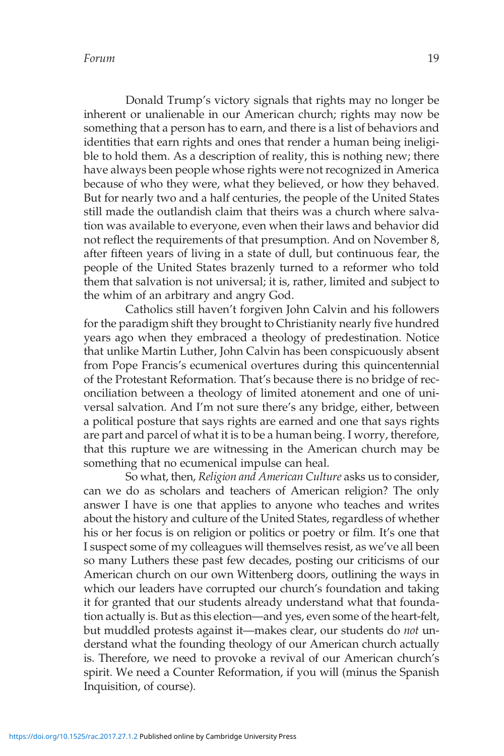Donald Trump's victory signals that rights may no longer be inherent or unalienable in our American church; rights may now be something that a person has to earn, and there is a list of behaviors and identities that earn rights and ones that render a human being ineligible to hold them. As a description of reality, this is nothing new; there have always been people whose rights were not recognized in America because of who they were, what they believed, or how they behaved. But for nearly two and a half centuries, the people of the United States still made the outlandish claim that theirs was a church where salvation was available to everyone, even when their laws and behavior did not reflect the requirements of that presumption. And on November 8, after fifteen years of living in a state of dull, but continuous fear, the people of the United States brazenly turned to a reformer who told them that salvation is not universal; it is, rather, limited and subject to the whim of an arbitrary and angry God.

Catholics still haven't forgiven John Calvin and his followers for the paradigm shift they brought to Christianity nearly five hundred years ago when they embraced a theology of predestination. Notice that unlike Martin Luther, John Calvin has been conspicuously absent from Pope Francis's ecumenical overtures during this quincentennial of the Protestant Reformation. That's because there is no bridge of reconciliation between a theology of limited atonement and one of universal salvation. And I'm not sure there's any bridge, either, between a political posture that says rights are earned and one that says rights are part and parcel of what it is to be a human being. I worry, therefore, that this rupture we are witnessing in the American church may be something that no ecumenical impulse can heal.

So what, then, Religion and American Culture asks us to consider, can we do as scholars and teachers of American religion? The only answer I have is one that applies to anyone who teaches and writes about the history and culture of the United States, regardless of whether his or her focus is on religion or politics or poetry or film. It's one that I suspect some of my colleagues will themselves resist, as we've all been so many Luthers these past few decades, posting our criticisms of our American church on our own Wittenberg doors, outlining the ways in which our leaders have corrupted our church's foundation and taking it for granted that our students already understand what that foundation actually is. But as this election—and yes, even some of the heart-felt, but muddled protests against it—makes clear, our students do not understand what the founding theology of our American church actually is. Therefore, we need to provoke a revival of our American church's spirit. We need a Counter Reformation, if you will (minus the Spanish Inquisition, of course).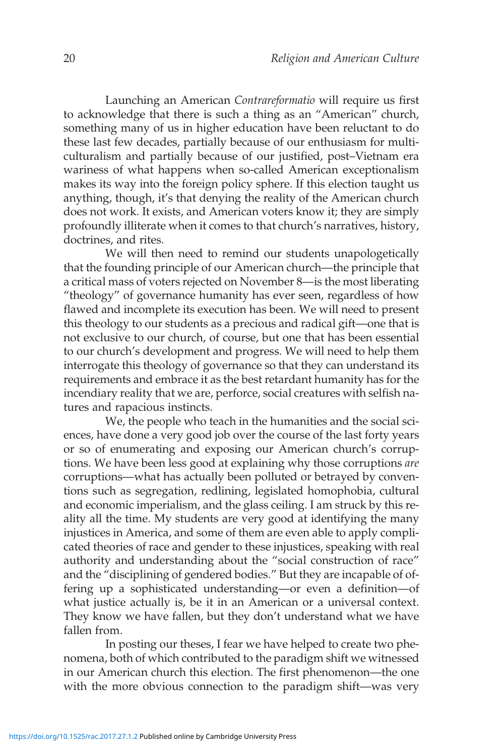Launching an American Contrareformatio will require us first to acknowledge that there is such a thing as an "American" church, something many of us in higher education have been reluctant to do these last few decades, partially because of our enthusiasm for multiculturalism and partially because of our justified, post–Vietnam era wariness of what happens when so-called American exceptionalism makes its way into the foreign policy sphere. If this election taught us anything, though, it's that denying the reality of the American church does not work. It exists, and American voters know it; they are simply profoundly illiterate when it comes to that church's narratives, history, doctrines, and rites.

We will then need to remind our students unapologetically that the founding principle of our American church—the principle that a critical mass of voters rejected on November 8—is the most liberating "theology" of governance humanity has ever seen, regardless of how flawed and incomplete its execution has been. We will need to present this theology to our students as a precious and radical gift—one that is not exclusive to our church, of course, but one that has been essential to our church's development and progress. We will need to help them interrogate this theology of governance so that they can understand its requirements and embrace it as the best retardant humanity has for the incendiary reality that we are, perforce, social creatures with selfish natures and rapacious instincts.

We, the people who teach in the humanities and the social sciences, have done a very good job over the course of the last forty years or so of enumerating and exposing our American church's corruptions. We have been less good at explaining why those corruptions are corruptions—what has actually been polluted or betrayed by conventions such as segregation, redlining, legislated homophobia, cultural and economic imperialism, and the glass ceiling. I am struck by this reality all the time. My students are very good at identifying the many injustices in America, and some of them are even able to apply complicated theories of race and gender to these injustices, speaking with real authority and understanding about the "social construction of race" and the "disciplining of gendered bodies." But they are incapable of offering up a sophisticated understanding—or even a definition—of what justice actually is, be it in an American or a universal context. They know we have fallen, but they don't understand what we have fallen from.

In posting our theses, I fear we have helped to create two phenomena, both of which contributed to the paradigm shift we witnessed in our American church this election. The first phenomenon—the one with the more obvious connection to the paradigm shift—was very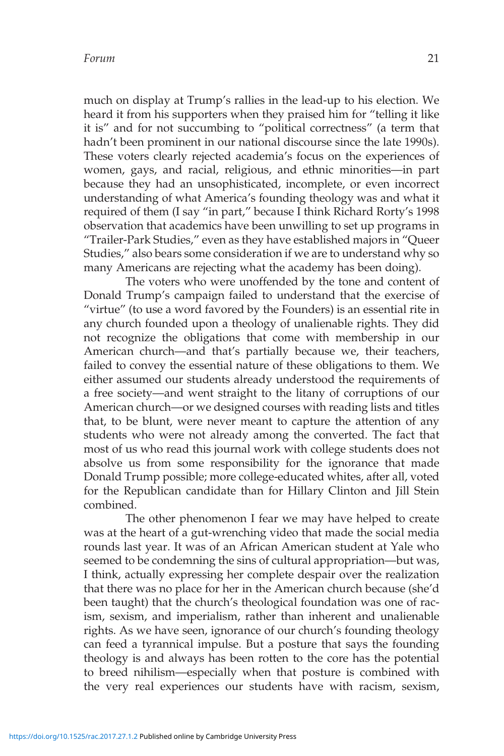much on display at Trump's rallies in the lead-up to his election. We heard it from his supporters when they praised him for "telling it like it is" and for not succumbing to "political correctness" (a term that hadn't been prominent in our national discourse since the late 1990s). These voters clearly rejected academia's focus on the experiences of women, gays, and racial, religious, and ethnic minorities—in part because they had an unsophisticated, incomplete, or even incorrect understanding of what America's founding theology was and what it required of them (I say "in part," because I think Richard Rorty's 1998 observation that academics have been unwilling to set up programs in "Trailer-Park Studies," even as they have established majors in "Queer Studies," also bears some consideration if we are to understand why so many Americans are rejecting what the academy has been doing).

The voters who were unoffended by the tone and content of Donald Trump's campaign failed to understand that the exercise of "virtue" (to use a word favored by the Founders) is an essential rite in any church founded upon a theology of unalienable rights. They did not recognize the obligations that come with membership in our American church—and that's partially because we, their teachers, failed to convey the essential nature of these obligations to them. We either assumed our students already understood the requirements of a free society—and went straight to the litany of corruptions of our American church—or we designed courses with reading lists and titles that, to be blunt, were never meant to capture the attention of any students who were not already among the converted. The fact that most of us who read this journal work with college students does not absolve us from some responsibility for the ignorance that made Donald Trump possible; more college-educated whites, after all, voted for the Republican candidate than for Hillary Clinton and Jill Stein combined.

The other phenomenon I fear we may have helped to create was at the heart of a gut-wrenching video that made the social media rounds last year. It was of an African American student at Yale who seemed to be condemning the sins of cultural appropriation—but was, I think, actually expressing her complete despair over the realization that there was no place for her in the American church because (she'd been taught) that the church's theological foundation was one of racism, sexism, and imperialism, rather than inherent and unalienable rights. As we have seen, ignorance of our church's founding theology can feed a tyrannical impulse. But a posture that says the founding theology is and always has been rotten to the core has the potential to breed nihilism—especially when that posture is combined with the very real experiences our students have with racism, sexism,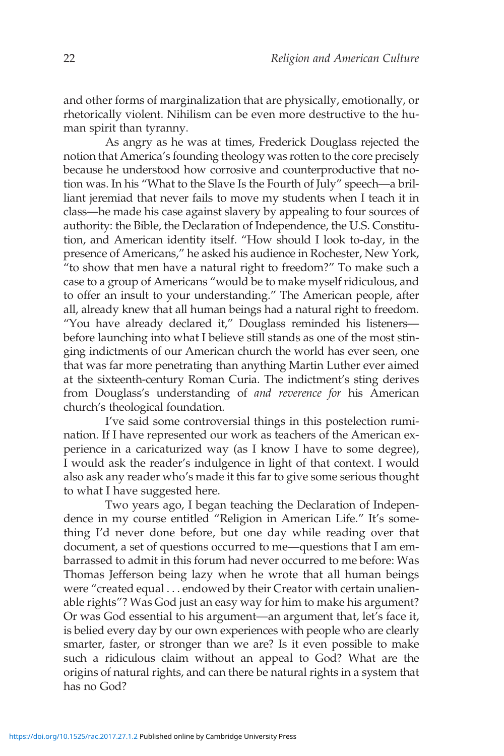and other forms of marginalization that are physically, emotionally, or rhetorically violent. Nihilism can be even more destructive to the human spirit than tyranny.

As angry as he was at times, Frederick Douglass rejected the notion that America's founding theology was rotten to the core precisely because he understood how corrosive and counterproductive that notion was. In his "What to the Slave Is the Fourth of July" speech—a brilliant jeremiad that never fails to move my students when I teach it in class—he made his case against slavery by appealing to four sources of authority: the Bible, the Declaration of Independence, the U.S. Constitution, and American identity itself. "How should I look to-day, in the presence of Americans," he asked his audience in Rochester, New York, "to show that men have a natural right to freedom?" To make such a case to a group of Americans "would be to make myself ridiculous, and to offer an insult to your understanding." The American people, after all, already knew that all human beings had a natural right to freedom. "You have already declared it," Douglass reminded his listeners before launching into what I believe still stands as one of the most stinging indictments of our American church the world has ever seen, one that was far more penetrating than anything Martin Luther ever aimed at the sixteenth-century Roman Curia. The indictment's sting derives from Douglass's understanding of and reverence for his American church's theological foundation.

I've said some controversial things in this postelection rumination. If I have represented our work as teachers of the American experience in a caricaturized way (as I know I have to some degree), I would ask the reader's indulgence in light of that context. I would also ask any reader who's made it this far to give some serious thought to what I have suggested here.

Two years ago, I began teaching the Declaration of Independence in my course entitled "Religion in American Life." It's something I'd never done before, but one day while reading over that document, a set of questions occurred to me—questions that I am embarrassed to admit in this forum had never occurred to me before: Was Thomas Jefferson being lazy when he wrote that all human beings were "created equal . . . endowed by their Creator with certain unalienable rights"? Was God just an easy way for him to make his argument? Or was God essential to his argument—an argument that, let's face it, is belied every day by our own experiences with people who are clearly smarter, faster, or stronger than we are? Is it even possible to make such a ridiculous claim without an appeal to God? What are the origins of natural rights, and can there be natural rights in a system that has no God?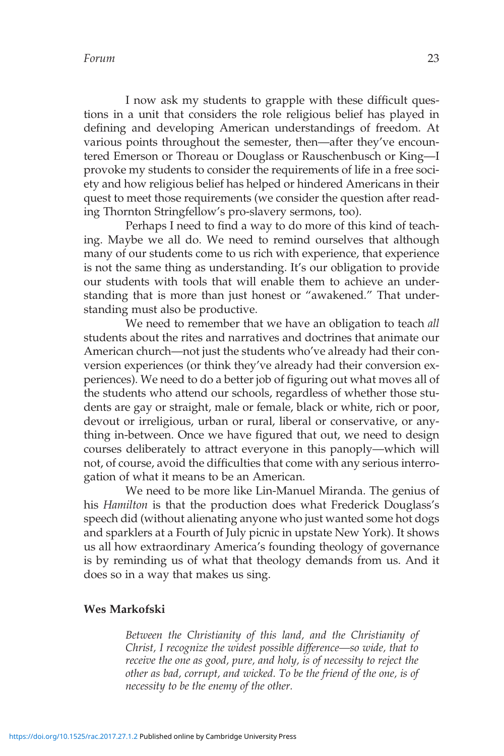I now ask my students to grapple with these difficult questions in a unit that considers the role religious belief has played in defining and developing American understandings of freedom. At various points throughout the semester, then—after they've encountered Emerson or Thoreau or Douglass or Rauschenbusch or King—I provoke my students to consider the requirements of life in a free society and how religious belief has helped or hindered Americans in their quest to meet those requirements (we consider the question after reading Thornton Stringfellow's pro-slavery sermons, too).

Perhaps I need to find a way to do more of this kind of teaching. Maybe we all do. We need to remind ourselves that although many of our students come to us rich with experience, that experience is not the same thing as understanding. It's our obligation to provide our students with tools that will enable them to achieve an understanding that is more than just honest or "awakened." That understanding must also be productive.

We need to remember that we have an obligation to teach all students about the rites and narratives and doctrines that animate our American church—not just the students who've already had their conversion experiences (or think they've already had their conversion experiences). We need to do a better job of figuring out what moves all of the students who attend our schools, regardless of whether those students are gay or straight, male or female, black or white, rich or poor, devout or irreligious, urban or rural, liberal or conservative, or anything in-between. Once we have figured that out, we need to design courses deliberately to attract everyone in this panoply—which will not, of course, avoid the difficulties that come with any serious interrogation of what it means to be an American.

We need to be more like Lin-Manuel Miranda. The genius of his Hamilton is that the production does what Frederick Douglass's speech did (without alienating anyone who just wanted some hot dogs and sparklers at a Fourth of July picnic in upstate New York). It shows us all how extraordinary America's founding theology of governance is by reminding us of what that theology demands from us. And it does so in a way that makes us sing.

## Wes Markofski

Between the Christianity of this land, and the Christianity of Christ, I recognize the widest possible difference—so wide, that to receive the one as good, pure, and holy, is of necessity to reject the other as bad, corrupt, and wicked. To be the friend of the one, is of necessity to be the enemy of the other.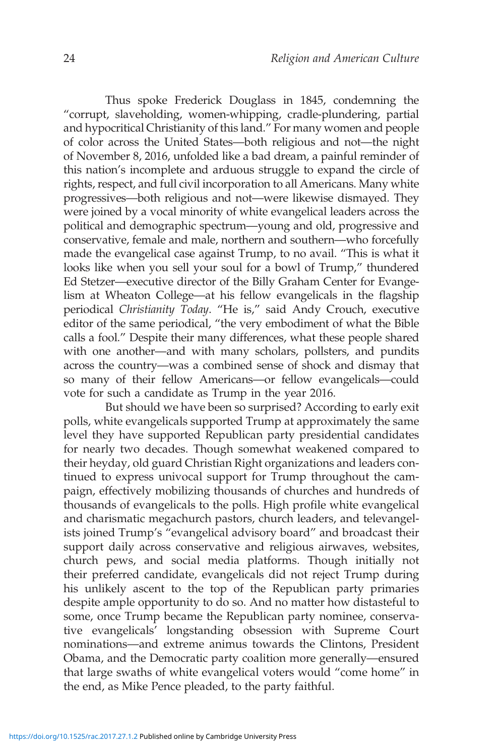Thus spoke Frederick Douglass in 1845, condemning the "corrupt, slaveholding, women-whipping, cradle-plundering, partial and hypocritical Christianity of this land." For many women and people of color across the United States—both religious and not—the night of November 8, 2016, unfolded like a bad dream, a painful reminder of this nation's incomplete and arduous struggle to expand the circle of rights, respect, and full civil incorporation to all Americans. Many white progressives—both religious and not—were likewise dismayed. They were joined by a vocal minority of white evangelical leaders across the political and demographic spectrum—young and old, progressive and conservative, female and male, northern and southern—who forcefully made the evangelical case against Trump, to no avail. "This is what it looks like when you sell your soul for a bowl of Trump," thundered Ed Stetzer—executive director of the Billy Graham Center for Evangelism at Wheaton College—at his fellow evangelicals in the flagship periodical Christianity Today. "He is," said Andy Crouch, executive editor of the same periodical, "the very embodiment of what the Bible calls a fool." Despite their many differences, what these people shared with one another—and with many scholars, pollsters, and pundits across the country—was a combined sense of shock and dismay that so many of their fellow Americans—or fellow evangelicals—could vote for such a candidate as Trump in the year 2016.

But should we have been so surprised? According to early exit polls, white evangelicals supported Trump at approximately the same level they have supported Republican party presidential candidates for nearly two decades. Though somewhat weakened compared to their heyday, old guard Christian Right organizations and leaders continued to express univocal support for Trump throughout the campaign, effectively mobilizing thousands of churches and hundreds of thousands of evangelicals to the polls. High profile white evangelical and charismatic megachurch pastors, church leaders, and televangelists joined Trump's "evangelical advisory board" and broadcast their support daily across conservative and religious airwaves, websites, church pews, and social media platforms. Though initially not their preferred candidate, evangelicals did not reject Trump during his unlikely ascent to the top of the Republican party primaries despite ample opportunity to do so. And no matter how distasteful to some, once Trump became the Republican party nominee, conservative evangelicals' longstanding obsession with Supreme Court nominations—and extreme animus towards the Clintons, President Obama, and the Democratic party coalition more generally—ensured that large swaths of white evangelical voters would "come home" in the end, as Mike Pence pleaded, to the party faithful.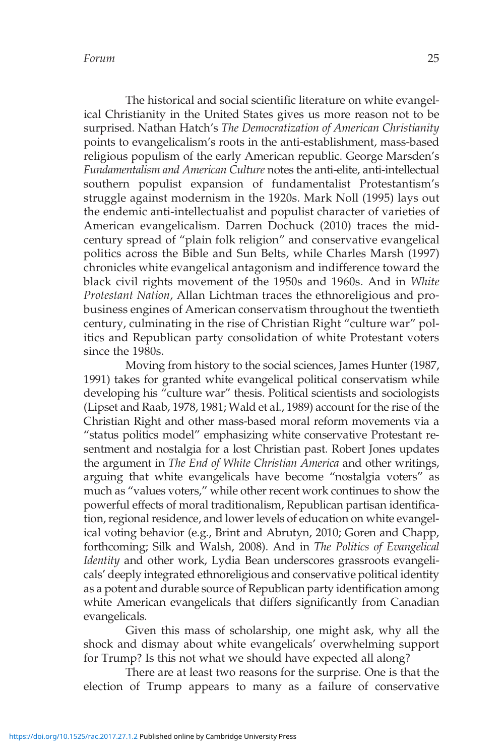The historical and social scientific literature on white evangelical Christianity in the United States gives us more reason not to be surprised. Nathan Hatch's The Democratization of American Christianity points to evangelicalism's roots in the anti-establishment, mass-based religious populism of the early American republic. George Marsden's Fundamentalism and American Culture notes the anti-elite, anti-intellectual southern populist expansion of fundamentalist Protestantism's struggle against modernism in the 1920s. Mark Noll (1995) lays out the endemic anti-intellectualist and populist character of varieties of American evangelicalism. Darren Dochuck (2010) traces the midcentury spread of "plain folk religion" and conservative evangelical politics across the Bible and Sun Belts, while Charles Marsh (1997) chronicles white evangelical antagonism and indifference toward the black civil rights movement of the 1950s and 1960s. And in White Protestant Nation, Allan Lichtman traces the ethnoreligious and probusiness engines of American conservatism throughout the twentieth century, culminating in the rise of Christian Right "culture war" politics and Republican party consolidation of white Protestant voters since the 1980s.

Moving from history to the social sciences, James Hunter (1987, 1991) takes for granted white evangelical political conservatism while developing his "culture war" thesis. Political scientists and sociologists (Lipset and Raab, 1978, 1981; Wald et al., 1989) account for the rise of the Christian Right and other mass-based moral reform movements via a "status politics model" emphasizing white conservative Protestant resentment and nostalgia for a lost Christian past. Robert Jones updates the argument in The End of White Christian America and other writings, arguing that white evangelicals have become "nostalgia voters" as much as "values voters," while other recent work continues to show the powerful effects of moral traditionalism, Republican partisan identification, regional residence, and lower levels of education on white evangelical voting behavior (e.g., Brint and Abrutyn, 2010; Goren and Chapp, forthcoming; Silk and Walsh, 2008). And in The Politics of Evangelical Identity and other work, Lydia Bean underscores grassroots evangelicals' deeply integrated ethnoreligious and conservative political identity as a potent and durable source of Republican party identification among white American evangelicals that differs significantly from Canadian evangelicals.

Given this mass of scholarship, one might ask, why all the shock and dismay about white evangelicals' overwhelming support for Trump? Is this not what we should have expected all along?

There are at least two reasons for the surprise. One is that the election of Trump appears to many as a failure of conservative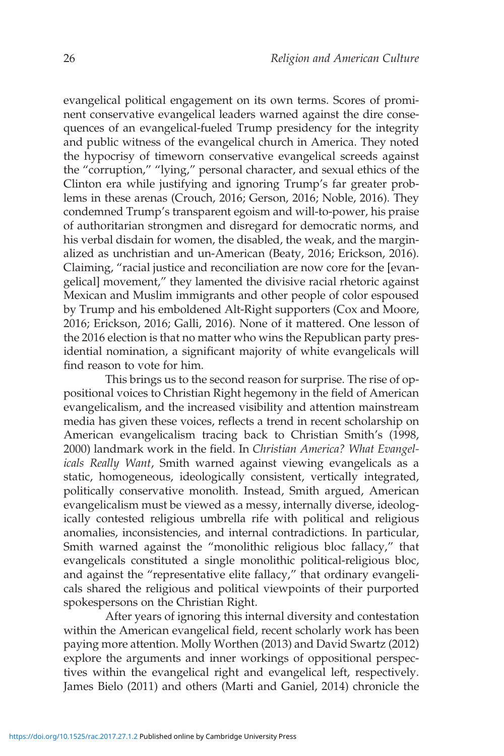evangelical political engagement on its own terms. Scores of prominent conservative evangelical leaders warned against the dire consequences of an evangelical-fueled Trump presidency for the integrity and public witness of the evangelical church in America. They noted the hypocrisy of timeworn conservative evangelical screeds against the "corruption," "lying," personal character, and sexual ethics of the Clinton era while justifying and ignoring Trump's far greater problems in these arenas (Crouch, 2016; Gerson, 2016; Noble, 2016). They condemned Trump's transparent egoism and will-to-power, his praise of authoritarian strongmen and disregard for democratic norms, and his verbal disdain for women, the disabled, the weak, and the marginalized as unchristian and un-American (Beaty, 2016; Erickson, 2016). Claiming, "racial justice and reconciliation are now core for the [evangelical] movement," they lamented the divisive racial rhetoric against Mexican and Muslim immigrants and other people of color espoused by Trump and his emboldened Alt-Right supporters (Cox and Moore, 2016; Erickson, 2016; Galli, 2016). None of it mattered. One lesson of the 2016 election is that no matter who wins the Republican party presidential nomination, a significant majority of white evangelicals will find reason to vote for him.

This brings us to the second reason for surprise. The rise of oppositional voices to Christian Right hegemony in the field of American evangelicalism, and the increased visibility and attention mainstream media has given these voices, reflects a trend in recent scholarship on American evangelicalism tracing back to Christian Smith's (1998, 2000) landmark work in the field. In Christian America? What Evangelicals Really Want, Smith warned against viewing evangelicals as a static, homogeneous, ideologically consistent, vertically integrated, politically conservative monolith. Instead, Smith argued, American evangelicalism must be viewed as a messy, internally diverse, ideologically contested religious umbrella rife with political and religious anomalies, inconsistencies, and internal contradictions. In particular, Smith warned against the "monolithic religious bloc fallacy," that evangelicals constituted a single monolithic political-religious bloc, and against the "representative elite fallacy," that ordinary evangelicals shared the religious and political viewpoints of their purported spokespersons on the Christian Right.

After years of ignoring this internal diversity and contestation within the American evangelical field, recent scholarly work has been paying more attention. Molly Worthen (2013) and David Swartz (2012) explore the arguments and inner workings of oppositional perspectives within the evangelical right and evangelical left, respectively. James Bielo (2011) and others (Marti and Ganiel, 2014) chronicle the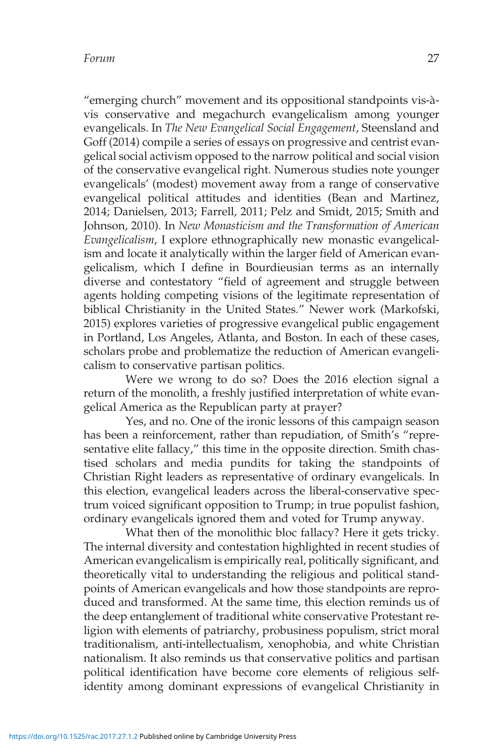"emerging church" movement and its oppositional standpoints vis-àvis conservative and megachurch evangelicalism among younger evangelicals. In The New Evangelical Social Engagement, Steensland and Goff (2014) compile a series of essays on progressive and centrist evangelical social activism opposed to the narrow political and social vision of the conservative evangelical right. Numerous studies note younger evangelicals' (modest) movement away from a range of conservative evangelical political attitudes and identities (Bean and Martinez, 2014; Danielsen, 2013; Farrell, 2011; Pelz and Smidt, 2015; Smith and Johnson, 2010). In New Monasticism and the Transformation of American Evangelicalism, I explore ethnographically new monastic evangelicalism and locate it analytically within the larger field of American evangelicalism, which I define in Bourdieusian terms as an internally diverse and contestatory "field of agreement and struggle between agents holding competing visions of the legitimate representation of biblical Christianity in the United States." Newer work (Markofski, 2015) explores varieties of progressive evangelical public engagement in Portland, Los Angeles, Atlanta, and Boston. In each of these cases, scholars probe and problematize the reduction of American evangelicalism to conservative partisan politics.

Were we wrong to do so? Does the 2016 election signal a return of the monolith, a freshly justified interpretation of white evangelical America as the Republican party at prayer?

Yes, and no. One of the ironic lessons of this campaign season has been a reinforcement, rather than repudiation, of Smith's "representative elite fallacy," this time in the opposite direction. Smith chastised scholars and media pundits for taking the standpoints of Christian Right leaders as representative of ordinary evangelicals. In this election, evangelical leaders across the liberal-conservative spectrum voiced significant opposition to Trump; in true populist fashion, ordinary evangelicals ignored them and voted for Trump anyway.

What then of the monolithic bloc fallacy? Here it gets tricky. The internal diversity and contestation highlighted in recent studies of American evangelicalism is empirically real, politically significant, and theoretically vital to understanding the religious and political standpoints of American evangelicals and how those standpoints are reproduced and transformed. At the same time, this election reminds us of the deep entanglement of traditional white conservative Protestant religion with elements of patriarchy, probusiness populism, strict moral traditionalism, anti-intellectualism, xenophobia, and white Christian nationalism. It also reminds us that conservative politics and partisan political identification have become core elements of religious selfidentity among dominant expressions of evangelical Christianity in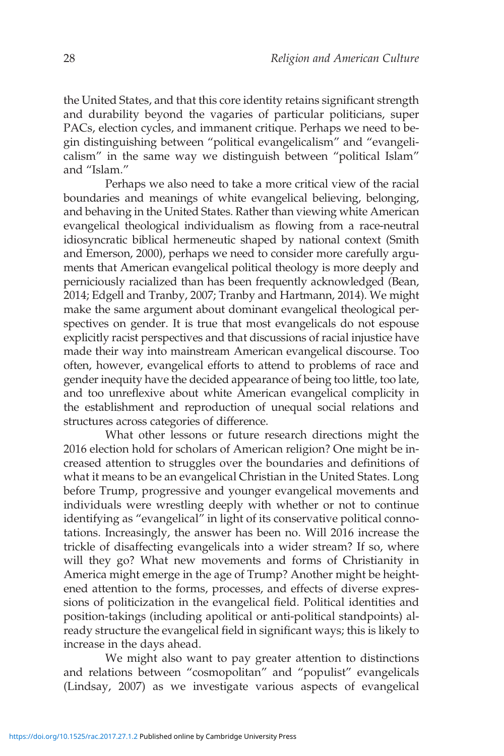the United States, and that this core identity retains significant strength and durability beyond the vagaries of particular politicians, super PACs, election cycles, and immanent critique. Perhaps we need to begin distinguishing between "political evangelicalism" and "evangelicalism" in the same way we distinguish between "political Islam" and "Islam."

Perhaps we also need to take a more critical view of the racial boundaries and meanings of white evangelical believing, belonging, and behaving in the United States. Rather than viewing white American evangelical theological individualism as flowing from a race-neutral idiosyncratic biblical hermeneutic shaped by national context (Smith and Emerson, 2000), perhaps we need to consider more carefully arguments that American evangelical political theology is more deeply and perniciously racialized than has been frequently acknowledged (Bean, 2014; Edgell and Tranby, 2007; Tranby and Hartmann, 2014). We might make the same argument about dominant evangelical theological perspectives on gender. It is true that most evangelicals do not espouse explicitly racist perspectives and that discussions of racial injustice have made their way into mainstream American evangelical discourse. Too often, however, evangelical efforts to attend to problems of race and gender inequity have the decided appearance of being too little, too late, and too unreflexive about white American evangelical complicity in the establishment and reproduction of unequal social relations and structures across categories of difference.

What other lessons or future research directions might the 2016 election hold for scholars of American religion? One might be increased attention to struggles over the boundaries and definitions of what it means to be an evangelical Christian in the United States. Long before Trump, progressive and younger evangelical movements and individuals were wrestling deeply with whether or not to continue identifying as "evangelical" in light of its conservative political connotations. Increasingly, the answer has been no. Will 2016 increase the trickle of disaffecting evangelicals into a wider stream? If so, where will they go? What new movements and forms of Christianity in America might emerge in the age of Trump? Another might be heightened attention to the forms, processes, and effects of diverse expressions of politicization in the evangelical field. Political identities and position-takings (including apolitical or anti-political standpoints) already structure the evangelical field in significant ways; this is likely to increase in the days ahead.

We might also want to pay greater attention to distinctions and relations between "cosmopolitan" and "populist" evangelicals (Lindsay, 2007) as we investigate various aspects of evangelical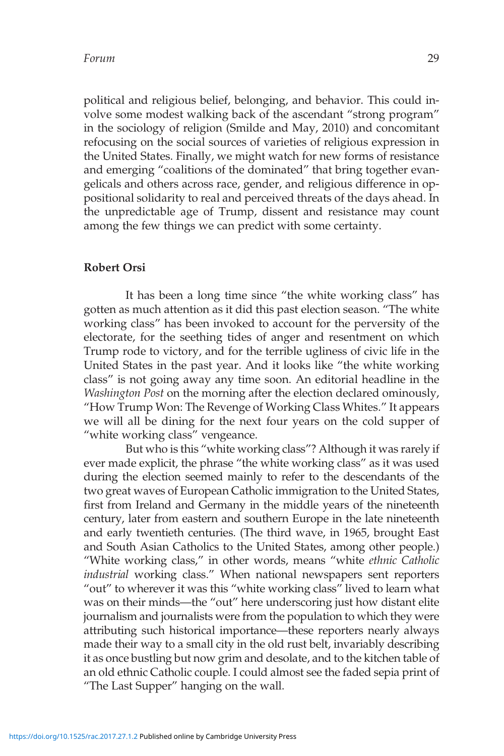political and religious belief, belonging, and behavior. This could involve some modest walking back of the ascendant "strong program" in the sociology of religion (Smilde and May, 2010) and concomitant refocusing on the social sources of varieties of religious expression in the United States. Finally, we might watch for new forms of resistance and emerging "coalitions of the dominated" that bring together evangelicals and others across race, gender, and religious difference in oppositional solidarity to real and perceived threats of the days ahead. In the unpredictable age of Trump, dissent and resistance may count among the few things we can predict with some certainty.

### Robert Orsi

It has been a long time since "the white working class" has gotten as much attention as it did this past election season. "The white working class" has been invoked to account for the perversity of the electorate, for the seething tides of anger and resentment on which Trump rode to victory, and for the terrible ugliness of civic life in the United States in the past year. And it looks like "the white working class" is not going away any time soon. An editorial headline in the Washington Post on the morning after the election declared ominously, "How Trump Won: The Revenge of Working Class Whites." It appears we will all be dining for the next four years on the cold supper of "white working class" vengeance.

But who is this "white working class"? Although it was rarely if ever made explicit, the phrase "the white working class" as it was used during the election seemed mainly to refer to the descendants of the two great waves of European Catholic immigration to the United States, first from Ireland and Germany in the middle years of the nineteenth century, later from eastern and southern Europe in the late nineteenth and early twentieth centuries. (The third wave, in 1965, brought East and South Asian Catholics to the United States, among other people.) "White working class," in other words, means "white ethnic Catholic industrial working class." When national newspapers sent reporters "out" to wherever it was this "white working class" lived to learn what was on their minds—the "out" here underscoring just how distant elite journalism and journalists were from the population to which they were attributing such historical importance—these reporters nearly always made their way to a small city in the old rust belt, invariably describing it as once bustling but now grim and desolate, and to the kitchen table of an old ethnic Catholic couple. I could almost see the faded sepia print of "The Last Supper" hanging on the wall.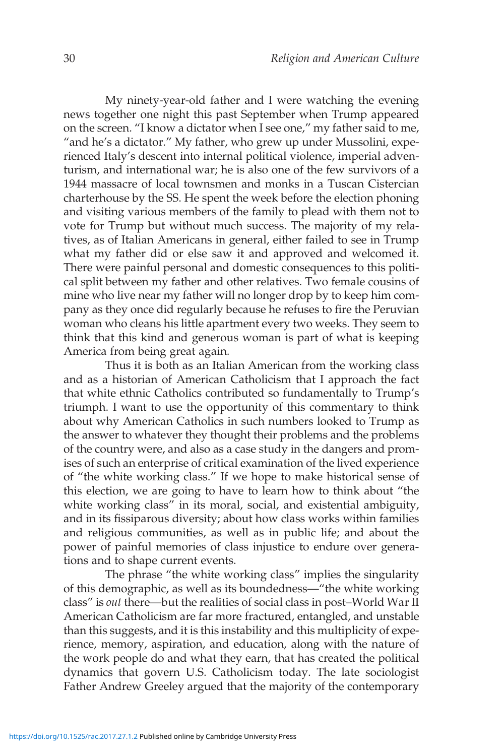My ninety-year-old father and I were watching the evening news together one night this past September when Trump appeared on the screen. "I know a dictator when I see one," my father said to me, "and he's a dictator." My father, who grew up under Mussolini, experienced Italy's descent into internal political violence, imperial adventurism, and international war; he is also one of the few survivors of a 1944 massacre of local townsmen and monks in a Tuscan Cistercian charterhouse by the SS. He spent the week before the election phoning and visiting various members of the family to plead with them not to vote for Trump but without much success. The majority of my relatives, as of Italian Americans in general, either failed to see in Trump what my father did or else saw it and approved and welcomed it. There were painful personal and domestic consequences to this political split between my father and other relatives. Two female cousins of mine who live near my father will no longer drop by to keep him company as they once did regularly because he refuses to fire the Peruvian woman who cleans his little apartment every two weeks. They seem to think that this kind and generous woman is part of what is keeping America from being great again.

Thus it is both as an Italian American from the working class and as a historian of American Catholicism that I approach the fact that white ethnic Catholics contributed so fundamentally to Trump's triumph. I want to use the opportunity of this commentary to think about why American Catholics in such numbers looked to Trump as the answer to whatever they thought their problems and the problems of the country were, and also as a case study in the dangers and promises of such an enterprise of critical examination of the lived experience of "the white working class." If we hope to make historical sense of this election, we are going to have to learn how to think about "the white working class" in its moral, social, and existential ambiguity, and in its fissiparous diversity; about how class works within families and religious communities, as well as in public life; and about the power of painful memories of class injustice to endure over generations and to shape current events.

The phrase "the white working class" implies the singularity of this demographic, as well as its boundedness—"the white working class" is out there—but the realities of social class in post–World War II American Catholicism are far more fractured, entangled, and unstable than this suggests, and it is this instability and this multiplicity of experience, memory, aspiration, and education, along with the nature of the work people do and what they earn, that has created the political dynamics that govern U.S. Catholicism today. The late sociologist Father Andrew Greeley argued that the majority of the contemporary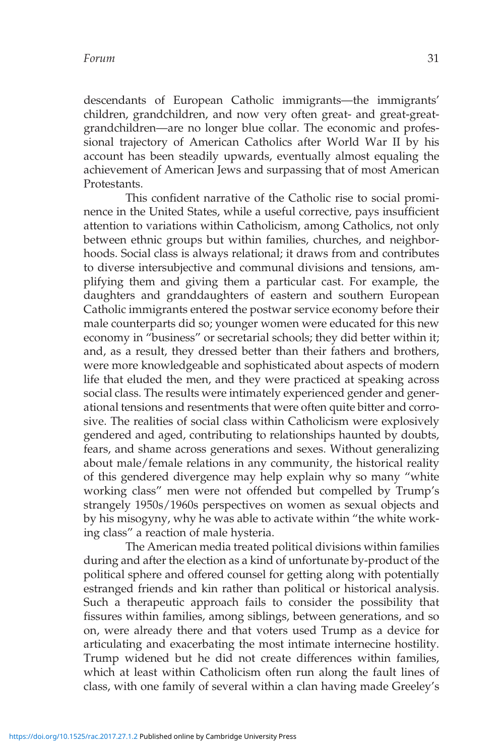descendants of European Catholic immigrants—the immigrants' children, grandchildren, and now very often great- and great-greatgrandchildren—are no longer blue collar. The economic and professional trajectory of American Catholics after World War II by his account has been steadily upwards, eventually almost equaling the achievement of American Jews and surpassing that of most American Protestants.

This confident narrative of the Catholic rise to social prominence in the United States, while a useful corrective, pays insufficient attention to variations within Catholicism, among Catholics, not only between ethnic groups but within families, churches, and neighborhoods. Social class is always relational; it draws from and contributes to diverse intersubjective and communal divisions and tensions, amplifying them and giving them a particular cast. For example, the daughters and granddaughters of eastern and southern European Catholic immigrants entered the postwar service economy before their male counterparts did so; younger women were educated for this new economy in "business" or secretarial schools; they did better within it; and, as a result, they dressed better than their fathers and brothers, were more knowledgeable and sophisticated about aspects of modern life that eluded the men, and they were practiced at speaking across social class. The results were intimately experienced gender and generational tensions and resentments that were often quite bitter and corrosive. The realities of social class within Catholicism were explosively gendered and aged, contributing to relationships haunted by doubts, fears, and shame across generations and sexes. Without generalizing about male/female relations in any community, the historical reality of this gendered divergence may help explain why so many "white working class" men were not offended but compelled by Trump's strangely 1950s/1960s perspectives on women as sexual objects and by his misogyny, why he was able to activate within "the white working class" a reaction of male hysteria.

The American media treated political divisions within families during and after the election as a kind of unfortunate by-product of the political sphere and offered counsel for getting along with potentially estranged friends and kin rather than political or historical analysis. Such a therapeutic approach fails to consider the possibility that fissures within families, among siblings, between generations, and so on, were already there and that voters used Trump as a device for articulating and exacerbating the most intimate internecine hostility. Trump widened but he did not create differences within families, which at least within Catholicism often run along the fault lines of class, with one family of several within a clan having made Greeley's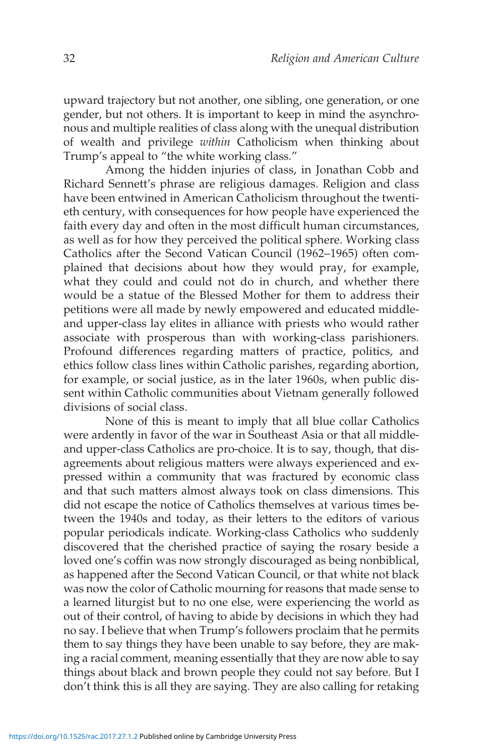upward trajectory but not another, one sibling, one generation, or one gender, but not others. It is important to keep in mind the asynchronous and multiple realities of class along with the unequal distribution of wealth and privilege within Catholicism when thinking about Trump's appeal to "the white working class."

Among the hidden injuries of class, in Jonathan Cobb and Richard Sennett's phrase are religious damages. Religion and class have been entwined in American Catholicism throughout the twentieth century, with consequences for how people have experienced the faith every day and often in the most difficult human circumstances, as well as for how they perceived the political sphere. Working class Catholics after the Second Vatican Council (1962–1965) often complained that decisions about how they would pray, for example, what they could and could not do in church, and whether there would be a statue of the Blessed Mother for them to address their petitions were all made by newly empowered and educated middleand upper-class lay elites in alliance with priests who would rather associate with prosperous than with working-class parishioners. Profound differences regarding matters of practice, politics, and ethics follow class lines within Catholic parishes, regarding abortion, for example, or social justice, as in the later 1960s, when public dissent within Catholic communities about Vietnam generally followed divisions of social class.

None of this is meant to imply that all blue collar Catholics were ardently in favor of the war in Southeast Asia or that all middleand upper-class Catholics are pro-choice. It is to say, though, that disagreements about religious matters were always experienced and expressed within a community that was fractured by economic class and that such matters almost always took on class dimensions. This did not escape the notice of Catholics themselves at various times between the 1940s and today, as their letters to the editors of various popular periodicals indicate. Working-class Catholics who suddenly discovered that the cherished practice of saying the rosary beside a loved one's coffin was now strongly discouraged as being nonbiblical, as happened after the Second Vatican Council, or that white not black was now the color of Catholic mourning for reasons that made sense to a learned liturgist but to no one else, were experiencing the world as out of their control, of having to abide by decisions in which they had no say. I believe that when Trump's followers proclaim that he permits them to say things they have been unable to say before, they are making a racial comment, meaning essentially that they are now able to say things about black and brown people they could not say before. But I don't think this is all they are saying. They are also calling for retaking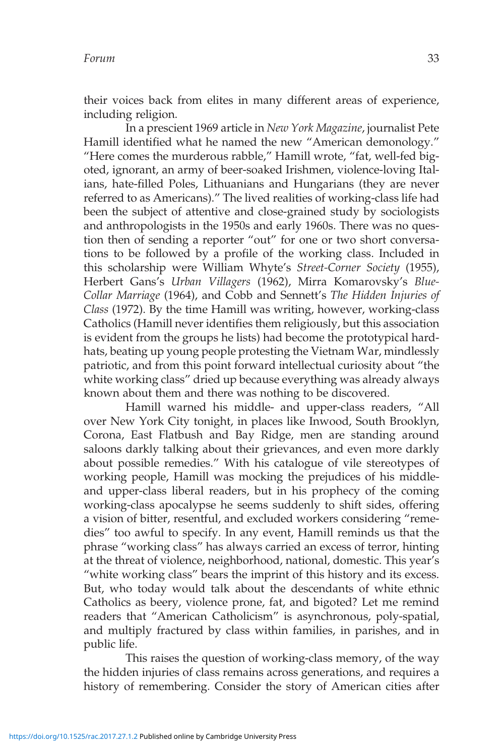their voices back from elites in many different areas of experience, including religion.

In a prescient 1969 article in New York Magazine, journalist Pete Hamill identified what he named the new "American demonology." "Here comes the murderous rabble," Hamill wrote, "fat, well-fed bigoted, ignorant, an army of beer-soaked Irishmen, violence-loving Italians, hate-filled Poles, Lithuanians and Hungarians (they are never referred to as Americans)." The lived realities of working-class life had been the subject of attentive and close-grained study by sociologists and anthropologists in the 1950s and early 1960s. There was no question then of sending a reporter "out" for one or two short conversations to be followed by a profile of the working class. Included in this scholarship were William Whyte's Street-Corner Society (1955), Herbert Gans's Urban Villagers (1962), Mirra Komarovsky's Blue-Collar Marriage (1964), and Cobb and Sennett's The Hidden Injuries of Class (1972). By the time Hamill was writing, however, working-class Catholics (Hamill never identifies them religiously, but this association is evident from the groups he lists) had become the prototypical hardhats, beating up young people protesting the Vietnam War, mindlessly patriotic, and from this point forward intellectual curiosity about "the white working class" dried up because everything was already always known about them and there was nothing to be discovered.

Hamill warned his middle- and upper-class readers, "All over New York City tonight, in places like Inwood, South Brooklyn, Corona, East Flatbush and Bay Ridge, men are standing around saloons darkly talking about their grievances, and even more darkly about possible remedies." With his catalogue of vile stereotypes of working people, Hamill was mocking the prejudices of his middleand upper-class liberal readers, but in his prophecy of the coming working-class apocalypse he seems suddenly to shift sides, offering a vision of bitter, resentful, and excluded workers considering "remedies" too awful to specify. In any event, Hamill reminds us that the phrase "working class" has always carried an excess of terror, hinting at the threat of violence, neighborhood, national, domestic. This year's "white working class" bears the imprint of this history and its excess. But, who today would talk about the descendants of white ethnic Catholics as beery, violence prone, fat, and bigoted? Let me remind readers that "American Catholicism" is asynchronous, poly-spatial, and multiply fractured by class within families, in parishes, and in public life.

This raises the question of working-class memory, of the way the hidden injuries of class remains across generations, and requires a history of remembering. Consider the story of American cities after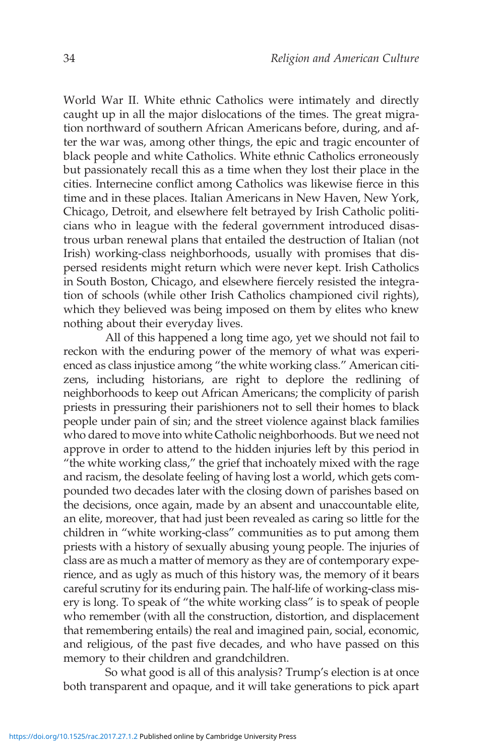World War II. White ethnic Catholics were intimately and directly caught up in all the major dislocations of the times. The great migration northward of southern African Americans before, during, and after the war was, among other things, the epic and tragic encounter of black people and white Catholics. White ethnic Catholics erroneously but passionately recall this as a time when they lost their place in the cities. Internecine conflict among Catholics was likewise fierce in this time and in these places. Italian Americans in New Haven, New York, Chicago, Detroit, and elsewhere felt betrayed by Irish Catholic politicians who in league with the federal government introduced disastrous urban renewal plans that entailed the destruction of Italian (not Irish) working-class neighborhoods, usually with promises that dispersed residents might return which were never kept. Irish Catholics in South Boston, Chicago, and elsewhere fiercely resisted the integration of schools (while other Irish Catholics championed civil rights), which they believed was being imposed on them by elites who knew nothing about their everyday lives.

All of this happened a long time ago, yet we should not fail to reckon with the enduring power of the memory of what was experienced as class injustice among "the white working class." American citizens, including historians, are right to deplore the redlining of neighborhoods to keep out African Americans; the complicity of parish priests in pressuring their parishioners not to sell their homes to black people under pain of sin; and the street violence against black families who dared to move into white Catholic neighborhoods. But we need not approve in order to attend to the hidden injuries left by this period in "the white working class," the grief that inchoately mixed with the rage and racism, the desolate feeling of having lost a world, which gets compounded two decades later with the closing down of parishes based on the decisions, once again, made by an absent and unaccountable elite, an elite, moreover, that had just been revealed as caring so little for the children in "white working-class" communities as to put among them priests with a history of sexually abusing young people. The injuries of class are as much a matter of memory as they are of contemporary experience, and as ugly as much of this history was, the memory of it bears careful scrutiny for its enduring pain. The half-life of working-class misery is long. To speak of "the white working class" is to speak of people who remember (with all the construction, distortion, and displacement that remembering entails) the real and imagined pain, social, economic, and religious, of the past five decades, and who have passed on this memory to their children and grandchildren.

So what good is all of this analysis? Trump's election is at once both transparent and opaque, and it will take generations to pick apart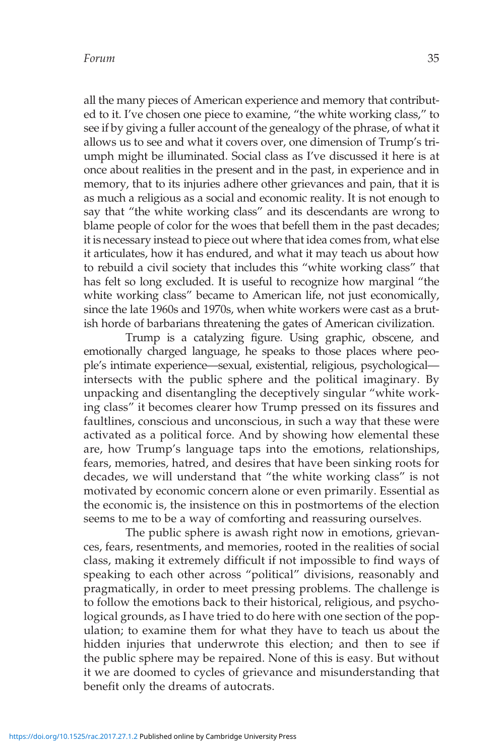all the many pieces of American experience and memory that contributed to it. I've chosen one piece to examine, "the white working class," to see if by giving a fuller account of the genealogy of the phrase, of what it allows us to see and what it covers over, one dimension of Trump's triumph might be illuminated. Social class as I've discussed it here is at once about realities in the present and in the past, in experience and in memory, that to its injuries adhere other grievances and pain, that it is as much a religious as a social and economic reality. It is not enough to say that "the white working class" and its descendants are wrong to blame people of color for the woes that befell them in the past decades; it is necessary instead to piece out where that idea comes from, what else it articulates, how it has endured, and what it may teach us about how to rebuild a civil society that includes this "white working class" that has felt so long excluded. It is useful to recognize how marginal "the white working class" became to American life, not just economically, since the late 1960s and 1970s, when white workers were cast as a brutish horde of barbarians threatening the gates of American civilization.

Trump is a catalyzing figure. Using graphic, obscene, and emotionally charged language, he speaks to those places where people's intimate experience—sexual, existential, religious, psychological intersects with the public sphere and the political imaginary. By unpacking and disentangling the deceptively singular "white working class" it becomes clearer how Trump pressed on its fissures and faultlines, conscious and unconscious, in such a way that these were activated as a political force. And by showing how elemental these are, how Trump's language taps into the emotions, relationships, fears, memories, hatred, and desires that have been sinking roots for decades, we will understand that "the white working class" is not motivated by economic concern alone or even primarily. Essential as the economic is, the insistence on this in postmortems of the election seems to me to be a way of comforting and reassuring ourselves.

The public sphere is awash right now in emotions, grievances, fears, resentments, and memories, rooted in the realities of social class, making it extremely difficult if not impossible to find ways of speaking to each other across "political" divisions, reasonably and pragmatically, in order to meet pressing problems. The challenge is to follow the emotions back to their historical, religious, and psychological grounds, as I have tried to do here with one section of the population; to examine them for what they have to teach us about the hidden injuries that underwrote this election; and then to see if the public sphere may be repaired. None of this is easy. But without it we are doomed to cycles of grievance and misunderstanding that benefit only the dreams of autocrats.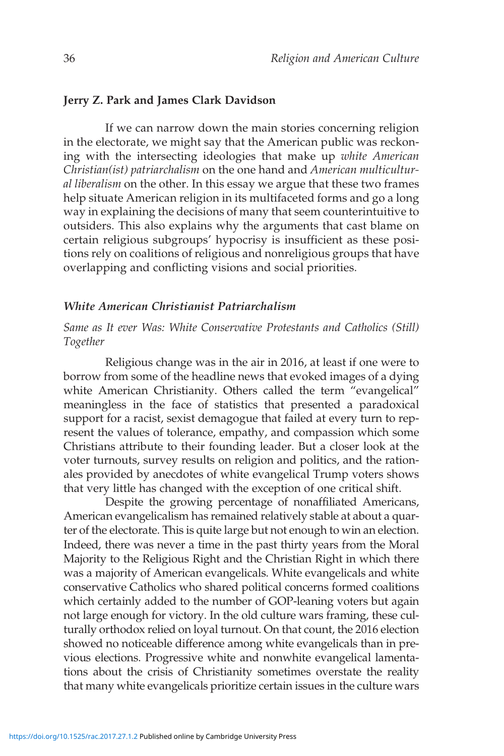#### Jerry Z. Park and James Clark Davidson

If we can narrow down the main stories concerning religion in the electorate, we might say that the American public was reckoning with the intersecting ideologies that make up white American Christian(ist) patriarchalism on the one hand and American multicultural liberalism on the other. In this essay we argue that these two frames help situate American religion in its multifaceted forms and go a long way in explaining the decisions of many that seem counterintuitive to outsiders. This also explains why the arguments that cast blame on certain religious subgroups' hypocrisy is insufficient as these positions rely on coalitions of religious and nonreligious groups that have overlapping and conflicting visions and social priorities.

### White American Christianist Patriarchalism

# Same as It ever Was: White Conservative Protestants and Catholics (Still) Together

Religious change was in the air in 2016, at least if one were to borrow from some of the headline news that evoked images of a dying white American Christianity. Others called the term "evangelical" meaningless in the face of statistics that presented a paradoxical support for a racist, sexist demagogue that failed at every turn to represent the values of tolerance, empathy, and compassion which some Christians attribute to their founding leader. But a closer look at the voter turnouts, survey results on religion and politics, and the rationales provided by anecdotes of white evangelical Trump voters shows that very little has changed with the exception of one critical shift.

Despite the growing percentage of nonaffiliated Americans, American evangelicalism has remained relatively stable at about a quarter of the electorate. This is quite large but not enough to win an election. Indeed, there was never a time in the past thirty years from the Moral Majority to the Religious Right and the Christian Right in which there was a majority of American evangelicals. White evangelicals and white conservative Catholics who shared political concerns formed coalitions which certainly added to the number of GOP-leaning voters but again not large enough for victory. In the old culture wars framing, these culturally orthodox relied on loyal turnout. On that count, the 2016 election showed no noticeable difference among white evangelicals than in previous elections. Progressive white and nonwhite evangelical lamentations about the crisis of Christianity sometimes overstate the reality that many white evangelicals prioritize certain issues in the culture wars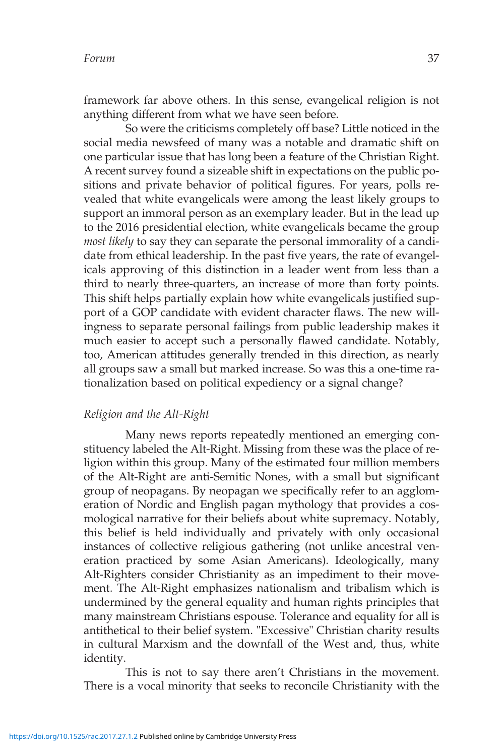framework far above others. In this sense, evangelical religion is not anything different from what we have seen before.

So were the criticisms completely off base? Little noticed in the social media newsfeed of many was a notable and dramatic shift on one particular issue that has long been a feature of the Christian Right. A recent survey found a sizeable shift in expectations on the public positions and private behavior of political figures. For years, polls revealed that white evangelicals were among the least likely groups to support an immoral person as an exemplary leader. But in the lead up to the 2016 presidential election, white evangelicals became the group most likely to say they can separate the personal immorality of a candidate from ethical leadership. In the past five years, the rate of evangelicals approving of this distinction in a leader went from less than a third to nearly three-quarters, an increase of more than forty points. This shift helps partially explain how white evangelicals justified support of a GOP candidate with evident character flaws. The new willingness to separate personal failings from public leadership makes it much easier to accept such a personally flawed candidate. Notably, too, American attitudes generally trended in this direction, as nearly all groups saw a small but marked increase. So was this a one-time rationalization based on political expediency or a signal change?

### Religion and the Alt-Right

Many news reports repeatedly mentioned an emerging constituency labeled the Alt-Right. Missing from these was the place of religion within this group. Many of the estimated four million members of the Alt-Right are anti-Semitic Nones, with a small but significant group of neopagans. By neopagan we specifically refer to an agglomeration of Nordic and English pagan mythology that provides a cosmological narrative for their beliefs about white supremacy. Notably, this belief is held individually and privately with only occasional instances of collective religious gathering (not unlike ancestral veneration practiced by some Asian Americans). Ideologically, many Alt-Righters consider Christianity as an impediment to their movement. The Alt-Right emphasizes nationalism and tribalism which is undermined by the general equality and human rights principles that many mainstream Christians espouse. Tolerance and equality for all is antithetical to their belief system. "Excessive" Christian charity results in cultural Marxism and the downfall of the West and, thus, white identity.

This is not to say there aren't Christians in the movement. There is a vocal minority that seeks to reconcile Christianity with the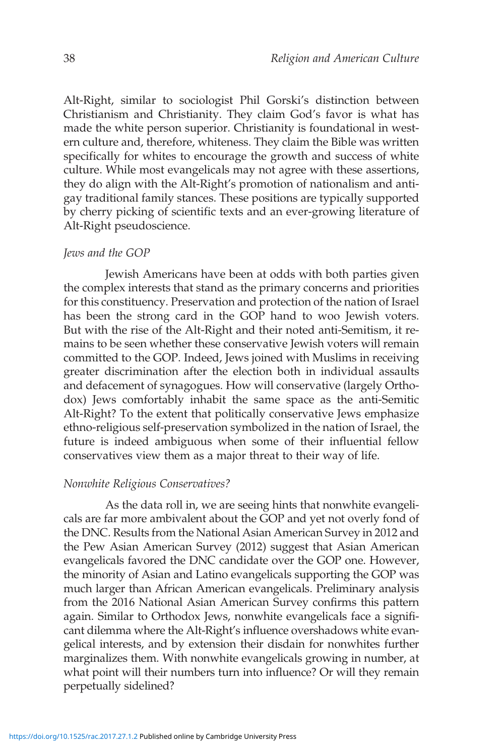Alt-Right, similar to sociologist Phil Gorski's distinction between Christianism and Christianity. They claim God's favor is what has made the white person superior. Christianity is foundational in western culture and, therefore, whiteness. They claim the Bible was written specifically for whites to encourage the growth and success of white culture. While most evangelicals may not agree with these assertions, they do align with the Alt-Right's promotion of nationalism and antigay traditional family stances. These positions are typically supported by cherry picking of scientific texts and an ever-growing literature of Alt-Right pseudoscience.

### Jews and the GOP

Jewish Americans have been at odds with both parties given the complex interests that stand as the primary concerns and priorities for this constituency. Preservation and protection of the nation of Israel has been the strong card in the GOP hand to woo Jewish voters. But with the rise of the Alt-Right and their noted anti-Semitism, it remains to be seen whether these conservative Jewish voters will remain committed to the GOP. Indeed, Jews joined with Muslims in receiving greater discrimination after the election both in individual assaults and defacement of synagogues. How will conservative (largely Orthodox) Jews comfortably inhabit the same space as the anti-Semitic Alt-Right? To the extent that politically conservative Jews emphasize ethno-religious self-preservation symbolized in the nation of Israel, the future is indeed ambiguous when some of their influential fellow conservatives view them as a major threat to their way of life.

### Nonwhite Religious Conservatives?

As the data roll in, we are seeing hints that nonwhite evangelicals are far more ambivalent about the GOP and yet not overly fond of the DNC. Results from the National Asian American Survey in 2012 and the Pew Asian American Survey (2012) suggest that Asian American evangelicals favored the DNC candidate over the GOP one. However, the minority of Asian and Latino evangelicals supporting the GOP was much larger than African American evangelicals. Preliminary analysis from the 2016 National Asian American Survey confirms this pattern again. Similar to Orthodox Jews, nonwhite evangelicals face a significant dilemma where the Alt-Right's influence overshadows white evangelical interests, and by extension their disdain for nonwhites further marginalizes them. With nonwhite evangelicals growing in number, at what point will their numbers turn into influence? Or will they remain perpetually sidelined?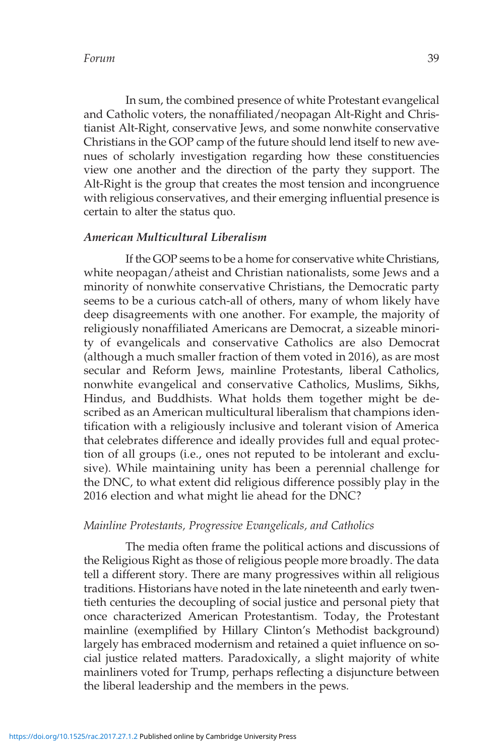In sum, the combined presence of white Protestant evangelical and Catholic voters, the nonaffiliated/neopagan Alt-Right and Christianist Alt-Right, conservative Jews, and some nonwhite conservative Christians in the GOP camp of the future should lend itself to new avenues of scholarly investigation regarding how these constituencies view one another and the direction of the party they support. The Alt-Right is the group that creates the most tension and incongruence with religious conservatives, and their emerging influential presence is certain to alter the status quo.

### American Multicultural Liberalism

If the GOP seems to be a home for conservative white Christians, white neopagan/atheist and Christian nationalists, some Jews and a minority of nonwhite conservative Christians, the Democratic party seems to be a curious catch-all of others, many of whom likely have deep disagreements with one another. For example, the majority of religiously nonaffiliated Americans are Democrat, a sizeable minority of evangelicals and conservative Catholics are also Democrat (although a much smaller fraction of them voted in 2016), as are most secular and Reform Jews, mainline Protestants, liberal Catholics, nonwhite evangelical and conservative Catholics, Muslims, Sikhs, Hindus, and Buddhists. What holds them together might be described as an American multicultural liberalism that champions identification with a religiously inclusive and tolerant vision of America that celebrates difference and ideally provides full and equal protection of all groups (i.e., ones not reputed to be intolerant and exclusive). While maintaining unity has been a perennial challenge for the DNC, to what extent did religious difference possibly play in the 2016 election and what might lie ahead for the DNC?

### Mainline Protestants, Progressive Evangelicals, and Catholics

The media often frame the political actions and discussions of the Religious Right as those of religious people more broadly. The data tell a different story. There are many progressives within all religious traditions. Historians have noted in the late nineteenth and early twentieth centuries the decoupling of social justice and personal piety that once characterized American Protestantism. Today, the Protestant mainline (exemplified by Hillary Clinton's Methodist background) largely has embraced modernism and retained a quiet influence on social justice related matters. Paradoxically, a slight majority of white mainliners voted for Trump, perhaps reflecting a disjuncture between the liberal leadership and the members in the pews.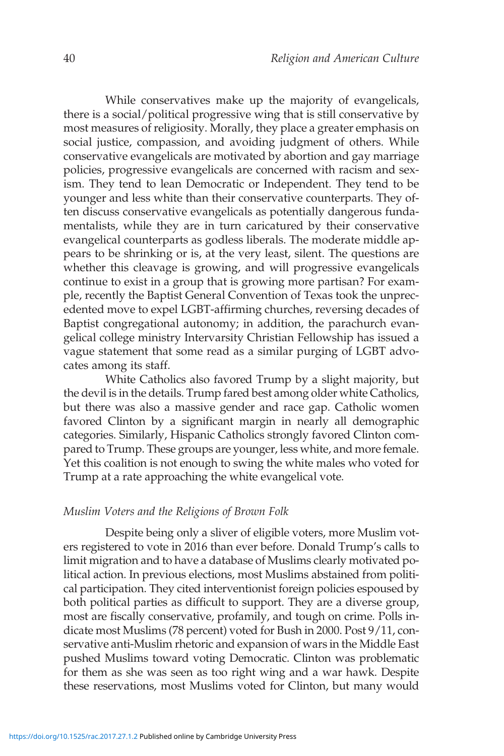While conservatives make up the majority of evangelicals, there is a social/political progressive wing that is still conservative by most measures of religiosity. Morally, they place a greater emphasis on social justice, compassion, and avoiding judgment of others. While conservative evangelicals are motivated by abortion and gay marriage policies, progressive evangelicals are concerned with racism and sexism. They tend to lean Democratic or Independent. They tend to be younger and less white than their conservative counterparts. They often discuss conservative evangelicals as potentially dangerous fundamentalists, while they are in turn caricatured by their conservative evangelical counterparts as godless liberals. The moderate middle appears to be shrinking or is, at the very least, silent. The questions are whether this cleavage is growing, and will progressive evangelicals continue to exist in a group that is growing more partisan? For example, recently the Baptist General Convention of Texas took the unprecedented move to expel LGBT-affirming churches, reversing decades of Baptist congregational autonomy; in addition, the parachurch evangelical college ministry Intervarsity Christian Fellowship has issued a vague statement that some read as a similar purging of LGBT advocates among its staff.

White Catholics also favored Trump by a slight majority, but the devil is in the details. Trump fared best among older white Catholics, but there was also a massive gender and race gap. Catholic women favored Clinton by a significant margin in nearly all demographic categories. Similarly, Hispanic Catholics strongly favored Clinton compared to Trump. These groups are younger, less white, and more female. Yet this coalition is not enough to swing the white males who voted for Trump at a rate approaching the white evangelical vote.

### Muslim Voters and the Religions of Brown Folk

Despite being only a sliver of eligible voters, more Muslim voters registered to vote in 2016 than ever before. Donald Trump's calls to limit migration and to have a database of Muslims clearly motivated political action. In previous elections, most Muslims abstained from political participation. They cited interventionist foreign policies espoused by both political parties as difficult to support. They are a diverse group, most are fiscally conservative, profamily, and tough on crime. Polls indicate most Muslims (78 percent) voted for Bush in 2000. Post 9/11, conservative anti-Muslim rhetoric and expansion of wars in the Middle East pushed Muslims toward voting Democratic. Clinton was problematic for them as she was seen as too right wing and a war hawk. Despite these reservations, most Muslims voted for Clinton, but many would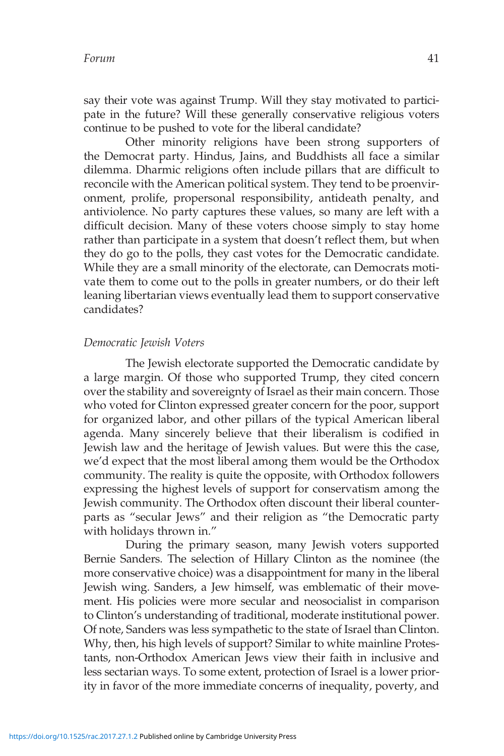Other minority religions have been strong supporters of the Democrat party. Hindus, Jains, and Buddhists all face a similar dilemma. Dharmic religions often include pillars that are difficult to reconcile with the American political system. They tend to be proenvironment, prolife, propersonal responsibility, antideath penalty, and antiviolence. No party captures these values, so many are left with a difficult decision. Many of these voters choose simply to stay home rather than participate in a system that doesn't reflect them, but when they do go to the polls, they cast votes for the Democratic candidate. While they are a small minority of the electorate, can Democrats motivate them to come out to the polls in greater numbers, or do their left leaning libertarian views eventually lead them to support conservative candidates?

### Democratic Jewish Voters

The Jewish electorate supported the Democratic candidate by a large margin. Of those who supported Trump, they cited concern over the stability and sovereignty of Israel as their main concern. Those who voted for Clinton expressed greater concern for the poor, support for organized labor, and other pillars of the typical American liberal agenda. Many sincerely believe that their liberalism is codified in Jewish law and the heritage of Jewish values. But were this the case, we'd expect that the most liberal among them would be the Orthodox community. The reality is quite the opposite, with Orthodox followers expressing the highest levels of support for conservatism among the Jewish community. The Orthodox often discount their liberal counterparts as "secular Jews" and their religion as "the Democratic party with holidays thrown in."

During the primary season, many Jewish voters supported Bernie Sanders. The selection of Hillary Clinton as the nominee (the more conservative choice) was a disappointment for many in the liberal Jewish wing. Sanders, a Jew himself, was emblematic of their movement. His policies were more secular and neosocialist in comparison to Clinton's understanding of traditional, moderate institutional power. Of note, Sanders was less sympathetic to the state of Israel than Clinton. Why, then, his high levels of support? Similar to white mainline Protestants, non-Orthodox American Jews view their faith in inclusive and less sectarian ways. To some extent, protection of Israel is a lower priority in favor of the more immediate concerns of inequality, poverty, and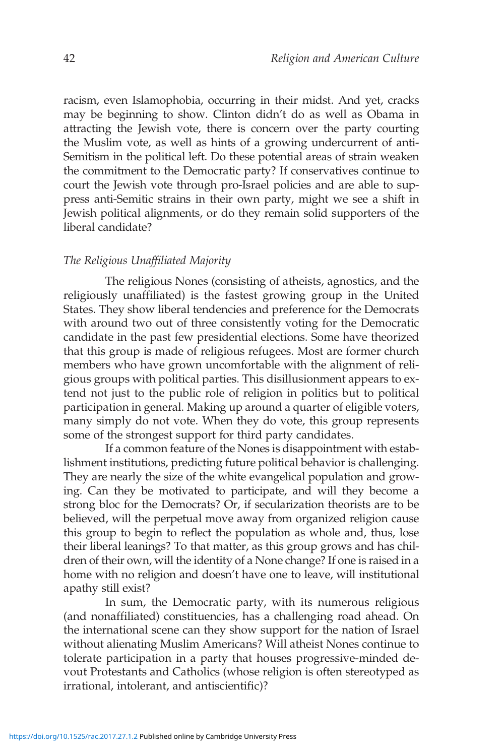racism, even Islamophobia, occurring in their midst. And yet, cracks may be beginning to show. Clinton didn't do as well as Obama in attracting the Jewish vote, there is concern over the party courting the Muslim vote, as well as hints of a growing undercurrent of anti-Semitism in the political left. Do these potential areas of strain weaken the commitment to the Democratic party? If conservatives continue to court the Jewish vote through pro-Israel policies and are able to suppress anti-Semitic strains in their own party, might we see a shift in Jewish political alignments, or do they remain solid supporters of the liberal candidate?

### The Religious Unaffiliated Majority

The religious Nones (consisting of atheists, agnostics, and the religiously unaffiliated) is the fastest growing group in the United States. They show liberal tendencies and preference for the Democrats with around two out of three consistently voting for the Democratic candidate in the past few presidential elections. Some have theorized that this group is made of religious refugees. Most are former church members who have grown uncomfortable with the alignment of religious groups with political parties. This disillusionment appears to extend not just to the public role of religion in politics but to political participation in general. Making up around a quarter of eligible voters, many simply do not vote. When they do vote, this group represents some of the strongest support for third party candidates.

If a common feature of the Nones is disappointment with establishment institutions, predicting future political behavior is challenging. They are nearly the size of the white evangelical population and growing. Can they be motivated to participate, and will they become a strong bloc for the Democrats? Or, if secularization theorists are to be believed, will the perpetual move away from organized religion cause this group to begin to reflect the population as whole and, thus, lose their liberal leanings? To that matter, as this group grows and has children of their own, will the identity of a None change? If one is raised in a home with no religion and doesn't have one to leave, will institutional apathy still exist?

In sum, the Democratic party, with its numerous religious (and nonaffiliated) constituencies, has a challenging road ahead. On the international scene can they show support for the nation of Israel without alienating Muslim Americans? Will atheist Nones continue to tolerate participation in a party that houses progressive-minded devout Protestants and Catholics (whose religion is often stereotyped as irrational, intolerant, and antiscientific)?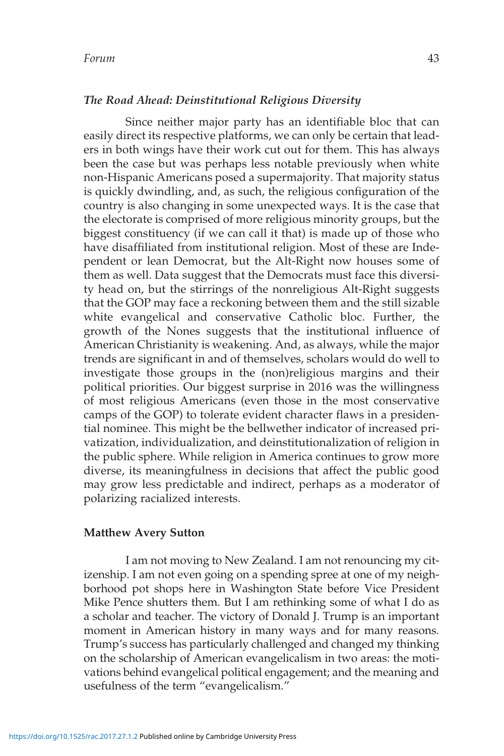#### The Road Ahead: Deinstitutional Religious Diversity

Since neither major party has an identifiable bloc that can easily direct its respective platforms, we can only be certain that leaders in both wings have their work cut out for them. This has always been the case but was perhaps less notable previously when white non-Hispanic Americans posed a supermajority. That majority status is quickly dwindling, and, as such, the religious configuration of the country is also changing in some unexpected ways. It is the case that the electorate is comprised of more religious minority groups, but the biggest constituency (if we can call it that) is made up of those who have disaffiliated from institutional religion. Most of these are Independent or lean Democrat, but the Alt-Right now houses some of them as well. Data suggest that the Democrats must face this diversity head on, but the stirrings of the nonreligious Alt-Right suggests that the GOP may face a reckoning between them and the still sizable white evangelical and conservative Catholic bloc. Further, the growth of the Nones suggests that the institutional influence of American Christianity is weakening. And, as always, while the major trends are significant in and of themselves, scholars would do well to investigate those groups in the (non)religious margins and their political priorities. Our biggest surprise in 2016 was the willingness of most religious Americans (even those in the most conservative camps of the GOP) to tolerate evident character flaws in a presidential nominee. This might be the bellwether indicator of increased privatization, individualization, and deinstitutionalization of religion in the public sphere. While religion in America continues to grow more diverse, its meaningfulness in decisions that affect the public good may grow less predictable and indirect, perhaps as a moderator of polarizing racialized interests.

#### Matthew Avery Sutton

I am not moving to New Zealand. I am not renouncing my citizenship. I am not even going on a spending spree at one of my neighborhood pot shops here in Washington State before Vice President Mike Pence shutters them. But I am rethinking some of what I do as a scholar and teacher. The victory of Donald J. Trump is an important moment in American history in many ways and for many reasons. Trump's success has particularly challenged and changed my thinking on the scholarship of American evangelicalism in two areas: the motivations behind evangelical political engagement; and the meaning and usefulness of the term "evangelicalism."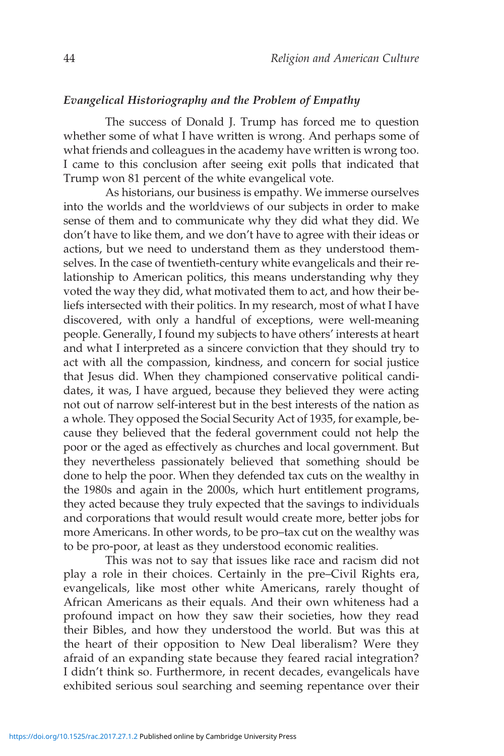### Evangelical Historiography and the Problem of Empathy

The success of Donald J. Trump has forced me to question whether some of what I have written is wrong. And perhaps some of what friends and colleagues in the academy have written is wrong too. I came to this conclusion after seeing exit polls that indicated that Trump won 81 percent of the white evangelical vote.

As historians, our business is empathy. We immerse ourselves into the worlds and the worldviews of our subjects in order to make sense of them and to communicate why they did what they did. We don't have to like them, and we don't have to agree with their ideas or actions, but we need to understand them as they understood themselves. In the case of twentieth-century white evangelicals and their relationship to American politics, this means understanding why they voted the way they did, what motivated them to act, and how their beliefs intersected with their politics. In my research, most of what I have discovered, with only a handful of exceptions, were well-meaning people. Generally, I found my subjects to have others' interests at heart and what I interpreted as a sincere conviction that they should try to act with all the compassion, kindness, and concern for social justice that Jesus did. When they championed conservative political candidates, it was, I have argued, because they believed they were acting not out of narrow self-interest but in the best interests of the nation as a whole. They opposed the Social Security Act of 1935, for example, because they believed that the federal government could not help the poor or the aged as effectively as churches and local government. But they nevertheless passionately believed that something should be done to help the poor. When they defended tax cuts on the wealthy in the 1980s and again in the 2000s, which hurt entitlement programs, they acted because they truly expected that the savings to individuals and corporations that would result would create more, better jobs for more Americans. In other words, to be pro–tax cut on the wealthy was to be pro-poor, at least as they understood economic realities.

This was not to say that issues like race and racism did not play a role in their choices. Certainly in the pre–Civil Rights era, evangelicals, like most other white Americans, rarely thought of African Americans as their equals. And their own whiteness had a profound impact on how they saw their societies, how they read their Bibles, and how they understood the world. But was this at the heart of their opposition to New Deal liberalism? Were they afraid of an expanding state because they feared racial integration? I didn't think so. Furthermore, in recent decades, evangelicals have exhibited serious soul searching and seeming repentance over their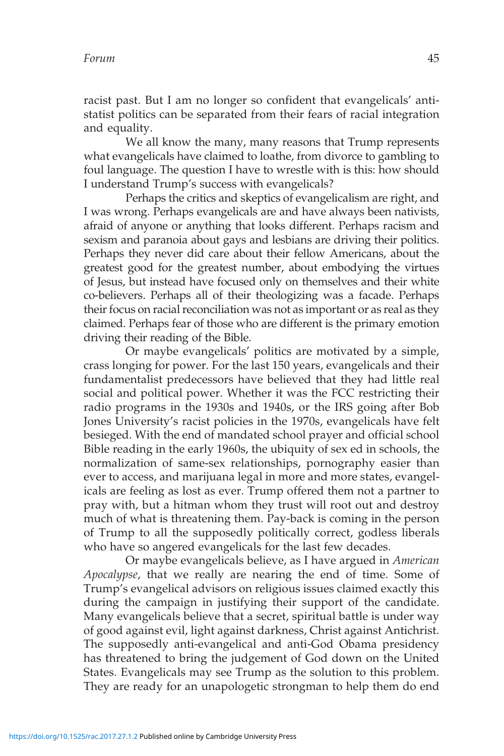racist past. But I am no longer so confident that evangelicals' antistatist politics can be separated from their fears of racial integration and equality.

We all know the many, many reasons that Trump represents what evangelicals have claimed to loathe, from divorce to gambling to foul language. The question I have to wrestle with is this: how should I understand Trump's success with evangelicals?

Perhaps the critics and skeptics of evangelicalism are right, and I was wrong. Perhaps evangelicals are and have always been nativists, afraid of anyone or anything that looks different. Perhaps racism and sexism and paranoia about gays and lesbians are driving their politics. Perhaps they never did care about their fellow Americans, about the greatest good for the greatest number, about embodying the virtues of Jesus, but instead have focused only on themselves and their white co-believers. Perhaps all of their theologizing was a facade. Perhaps their focus on racial reconciliation was not as important or as real as they claimed. Perhaps fear of those who are different is the primary emotion driving their reading of the Bible.

Or maybe evangelicals' politics are motivated by a simple, crass longing for power. For the last 150 years, evangelicals and their fundamentalist predecessors have believed that they had little real social and political power. Whether it was the FCC restricting their radio programs in the 1930s and 1940s, or the IRS going after Bob Jones University's racist policies in the 1970s, evangelicals have felt besieged. With the end of mandated school prayer and official school Bible reading in the early 1960s, the ubiquity of sex ed in schools, the normalization of same-sex relationships, pornography easier than ever to access, and marijuana legal in more and more states, evangelicals are feeling as lost as ever. Trump offered them not a partner to pray with, but a hitman whom they trust will root out and destroy much of what is threatening them. Pay-back is coming in the person of Trump to all the supposedly politically correct, godless liberals who have so angered evangelicals for the last few decades.

Or maybe evangelicals believe, as I have argued in American Apocalypse, that we really are nearing the end of time. Some of Trump's evangelical advisors on religious issues claimed exactly this during the campaign in justifying their support of the candidate. Many evangelicals believe that a secret, spiritual battle is under way of good against evil, light against darkness, Christ against Antichrist. The supposedly anti-evangelical and anti-God Obama presidency has threatened to bring the judgement of God down on the United States. Evangelicals may see Trump as the solution to this problem. They are ready for an unapologetic strongman to help them do end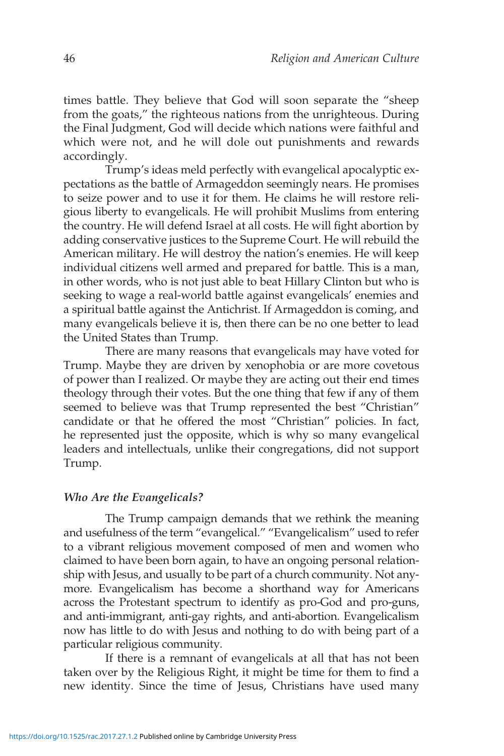times battle. They believe that God will soon separate the "sheep from the goats," the righteous nations from the unrighteous. During the Final Judgment, God will decide which nations were faithful and which were not, and he will dole out punishments and rewards accordingly.

Trump's ideas meld perfectly with evangelical apocalyptic expectations as the battle of Armageddon seemingly nears. He promises to seize power and to use it for them. He claims he will restore religious liberty to evangelicals. He will prohibit Muslims from entering the country. He will defend Israel at all costs. He will fight abortion by adding conservative justices to the Supreme Court. He will rebuild the American military. He will destroy the nation's enemies. He will keep individual citizens well armed and prepared for battle. This is a man, in other words, who is not just able to beat Hillary Clinton but who is seeking to wage a real-world battle against evangelicals' enemies and a spiritual battle against the Antichrist. If Armageddon is coming, and many evangelicals believe it is, then there can be no one better to lead the United States than Trump.

There are many reasons that evangelicals may have voted for Trump. Maybe they are driven by xenophobia or are more covetous of power than I realized. Or maybe they are acting out their end times theology through their votes. But the one thing that few if any of them seemed to believe was that Trump represented the best "Christian" candidate or that he offered the most "Christian" policies. In fact, he represented just the opposite, which is why so many evangelical leaders and intellectuals, unlike their congregations, did not support Trump.

### Who Are the Evangelicals?

The Trump campaign demands that we rethink the meaning and usefulness of the term "evangelical." "Evangelicalism" used to refer to a vibrant religious movement composed of men and women who claimed to have been born again, to have an ongoing personal relationship with Jesus, and usually to be part of a church community. Not anymore. Evangelicalism has become a shorthand way for Americans across the Protestant spectrum to identify as pro-God and pro-guns, and anti-immigrant, anti-gay rights, and anti-abortion. Evangelicalism now has little to do with Jesus and nothing to do with being part of a particular religious community.

If there is a remnant of evangelicals at all that has not been taken over by the Religious Right, it might be time for them to find a new identity. Since the time of Jesus, Christians have used many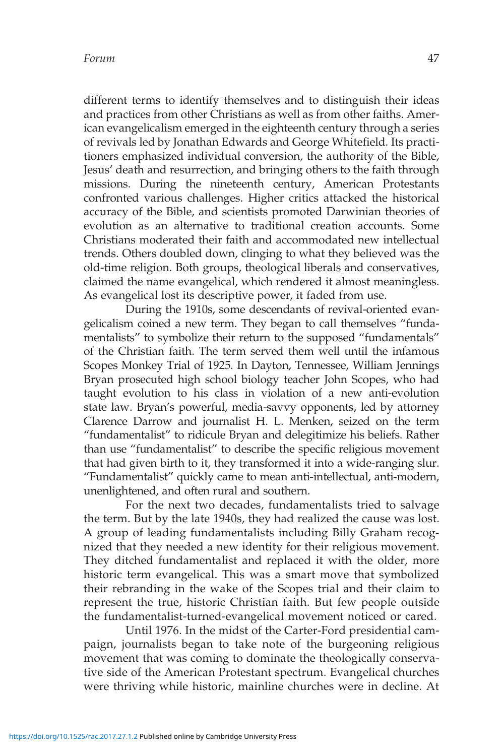different terms to identify themselves and to distinguish their ideas and practices from other Christians as well as from other faiths. American evangelicalism emerged in the eighteenth century through a series of revivals led by Jonathan Edwards and George Whitefield. Its practitioners emphasized individual conversion, the authority of the Bible, Jesus' death and resurrection, and bringing others to the faith through missions. During the nineteenth century, American Protestants confronted various challenges. Higher critics attacked the historical accuracy of the Bible, and scientists promoted Darwinian theories of evolution as an alternative to traditional creation accounts. Some Christians moderated their faith and accommodated new intellectual trends. Others doubled down, clinging to what they believed was the old-time religion. Both groups, theological liberals and conservatives, claimed the name evangelical, which rendered it almost meaningless. As evangelical lost its descriptive power, it faded from use.

During the 1910s, some descendants of revival-oriented evangelicalism coined a new term. They began to call themselves "fundamentalists" to symbolize their return to the supposed "fundamentals" of the Christian faith. The term served them well until the infamous Scopes Monkey Trial of 1925. In Dayton, Tennessee, William Jennings Bryan prosecuted high school biology teacher John Scopes, who had taught evolution to his class in violation of a new anti-evolution state law. Bryan's powerful, media-savvy opponents, led by attorney Clarence Darrow and journalist H. L. Menken, seized on the term "fundamentalist" to ridicule Bryan and delegitimize his beliefs. Rather than use "fundamentalist" to describe the specific religious movement that had given birth to it, they transformed it into a wide-ranging slur. "Fundamentalist" quickly came to mean anti-intellectual, anti-modern, unenlightened, and often rural and southern.

For the next two decades, fundamentalists tried to salvage the term. But by the late 1940s, they had realized the cause was lost. A group of leading fundamentalists including Billy Graham recognized that they needed a new identity for their religious movement. They ditched fundamentalist and replaced it with the older, more historic term evangelical. This was a smart move that symbolized their rebranding in the wake of the Scopes trial and their claim to represent the true, historic Christian faith. But few people outside the fundamentalist-turned-evangelical movement noticed or cared.

Until 1976. In the midst of the Carter-Ford presidential campaign, journalists began to take note of the burgeoning religious movement that was coming to dominate the theologically conservative side of the American Protestant spectrum. Evangelical churches were thriving while historic, mainline churches were in decline. At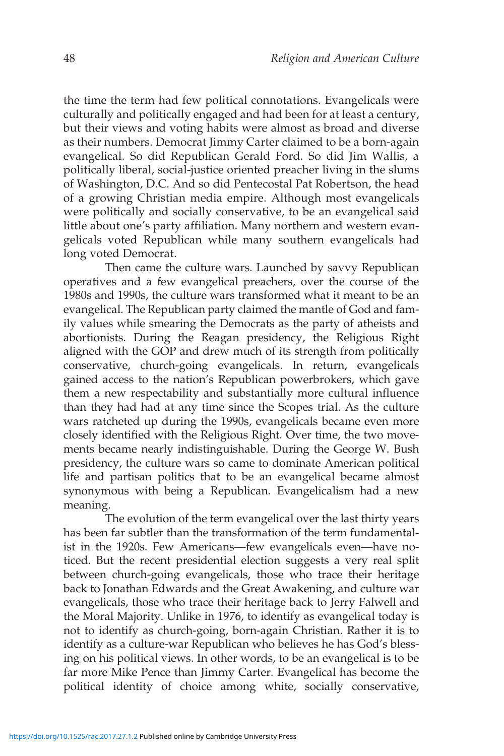the time the term had few political connotations. Evangelicals were culturally and politically engaged and had been for at least a century, but their views and voting habits were almost as broad and diverse as their numbers. Democrat Jimmy Carter claimed to be a born-again evangelical. So did Republican Gerald Ford. So did Jim Wallis, a politically liberal, social-justice oriented preacher living in the slums of Washington, D.C. And so did Pentecostal Pat Robertson, the head of a growing Christian media empire. Although most evangelicals were politically and socially conservative, to be an evangelical said little about one's party affiliation. Many northern and western evangelicals voted Republican while many southern evangelicals had long voted Democrat.

Then came the culture wars. Launched by savvy Republican operatives and a few evangelical preachers, over the course of the 1980s and 1990s, the culture wars transformed what it meant to be an evangelical. The Republican party claimed the mantle of God and family values while smearing the Democrats as the party of atheists and abortionists. During the Reagan presidency, the Religious Right aligned with the GOP and drew much of its strength from politically conservative, church-going evangelicals. In return, evangelicals gained access to the nation's Republican powerbrokers, which gave them a new respectability and substantially more cultural influence than they had had at any time since the Scopes trial. As the culture wars ratcheted up during the 1990s, evangelicals became even more closely identified with the Religious Right. Over time, the two movements became nearly indistinguishable. During the George W. Bush presidency, the culture wars so came to dominate American political life and partisan politics that to be an evangelical became almost synonymous with being a Republican. Evangelicalism had a new meaning.

The evolution of the term evangelical over the last thirty years has been far subtler than the transformation of the term fundamentalist in the 1920s. Few Americans—few evangelicals even—have noticed. But the recent presidential election suggests a very real split between church-going evangelicals, those who trace their heritage back to Jonathan Edwards and the Great Awakening, and culture war evangelicals, those who trace their heritage back to Jerry Falwell and the Moral Majority. Unlike in 1976, to identify as evangelical today is not to identify as church-going, born-again Christian. Rather it is to identify as a culture-war Republican who believes he has God's blessing on his political views. In other words, to be an evangelical is to be far more Mike Pence than Jimmy Carter. Evangelical has become the political identity of choice among white, socially conservative,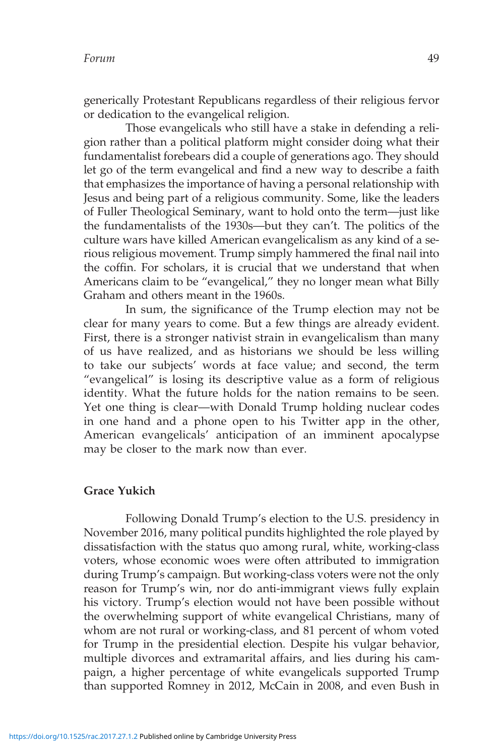generically Protestant Republicans regardless of their religious fervor or dedication to the evangelical religion.

Those evangelicals who still have a stake in defending a religion rather than a political platform might consider doing what their fundamentalist forebears did a couple of generations ago. They should let go of the term evangelical and find a new way to describe a faith that emphasizes the importance of having a personal relationship with Jesus and being part of a religious community. Some, like the leaders of Fuller Theological Seminary, want to hold onto the term—just like the fundamentalists of the 1930s—but they can't. The politics of the culture wars have killed American evangelicalism as any kind of a serious religious movement. Trump simply hammered the final nail into the coffin. For scholars, it is crucial that we understand that when Americans claim to be "evangelical," they no longer mean what Billy Graham and others meant in the 1960s.

In sum, the significance of the Trump election may not be clear for many years to come. But a few things are already evident. First, there is a stronger nativist strain in evangelicalism than many of us have realized, and as historians we should be less willing to take our subjects' words at face value; and second, the term "evangelical" is losing its descriptive value as a form of religious identity. What the future holds for the nation remains to be seen. Yet one thing is clear—with Donald Trump holding nuclear codes in one hand and a phone open to his Twitter app in the other, American evangelicals' anticipation of an imminent apocalypse may be closer to the mark now than ever.

# Grace Yukich

Following Donald Trump's election to the U.S. presidency in November 2016, many political pundits highlighted the role played by dissatisfaction with the status quo among rural, white, working-class voters, whose economic woes were often attributed to immigration during Trump's campaign. But working-class voters were not the only reason for Trump's win, nor do anti-immigrant views fully explain his victory. Trump's election would not have been possible without the overwhelming support of white evangelical Christians, many of whom are not rural or working-class, and 81 percent of whom voted for Trump in the presidential election. Despite his vulgar behavior, multiple divorces and extramarital affairs, and lies during his campaign, a higher percentage of white evangelicals supported Trump than supported Romney in 2012, McCain in 2008, and even Bush in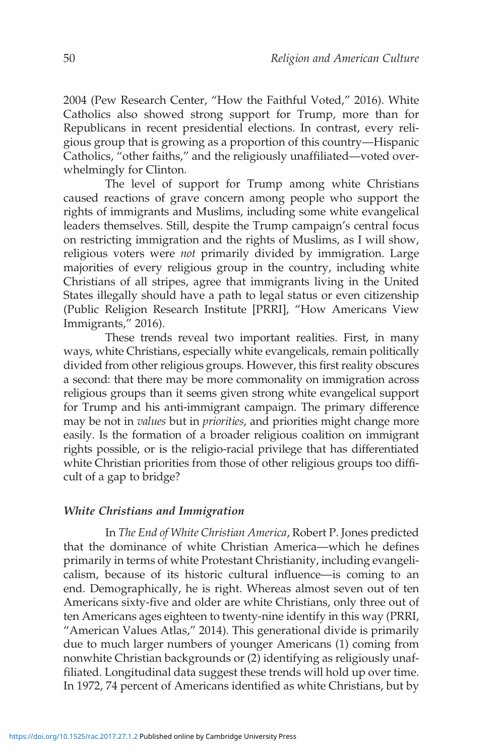2004 (Pew Research Center, "How the Faithful Voted," 2016). White Catholics also showed strong support for Trump, more than for Republicans in recent presidential elections. In contrast, every religious group that is growing as a proportion of this country—Hispanic Catholics, "other faiths," and the religiously unaffiliated—voted overwhelmingly for Clinton.

The level of support for Trump among white Christians caused reactions of grave concern among people who support the rights of immigrants and Muslims, including some white evangelical leaders themselves. Still, despite the Trump campaign's central focus on restricting immigration and the rights of Muslims, as I will show, religious voters were not primarily divided by immigration. Large majorities of every religious group in the country, including white Christians of all stripes, agree that immigrants living in the United States illegally should have a path to legal status or even citizenship (Public Religion Research Institute [PRRI], "How Americans View Immigrants," 2016).

These trends reveal two important realities. First, in many ways, white Christians, especially white evangelicals, remain politically divided from other religious groups. However, this first reality obscures a second: that there may be more commonality on immigration across religious groups than it seems given strong white evangelical support for Trump and his anti-immigrant campaign. The primary difference may be not in *values* but in *priorities*, and priorities might change more easily. Is the formation of a broader religious coalition on immigrant rights possible, or is the religio-racial privilege that has differentiated white Christian priorities from those of other religious groups too difficult of a gap to bridge?

### White Christians and Immigration

In The End of White Christian America, Robert P. Jones predicted that the dominance of white Christian America—which he defines primarily in terms of white Protestant Christianity, including evangelicalism, because of its historic cultural influence—is coming to an end. Demographically, he is right. Whereas almost seven out of ten Americans sixty-five and older are white Christians, only three out of ten Americans ages eighteen to twenty-nine identify in this way (PRRI, "American Values Atlas," 2014). This generational divide is primarily due to much larger numbers of younger Americans (1) coming from nonwhite Christian backgrounds or (2) identifying as religiously unaffiliated. Longitudinal data suggest these trends will hold up over time. In 1972, 74 percent of Americans identified as white Christians, but by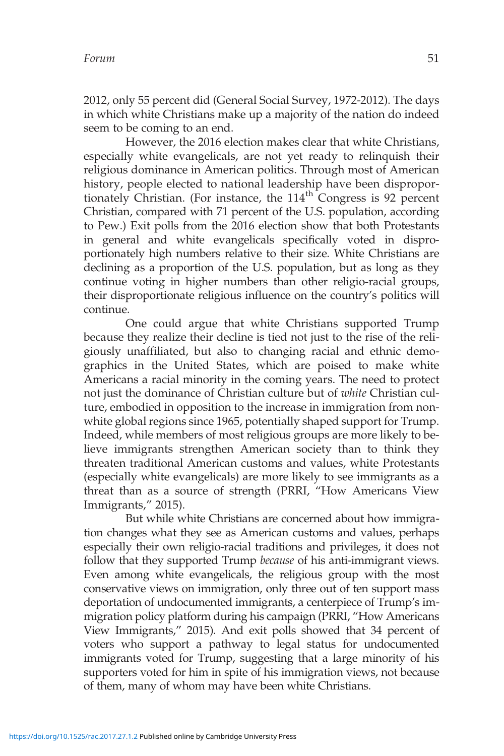2012, only 55 percent did (General Social Survey, 1972-2012). The days in which white Christians make up a majority of the nation do indeed seem to be coming to an end.

However, the 2016 election makes clear that white Christians, especially white evangelicals, are not yet ready to relinquish their religious dominance in American politics. Through most of American history, people elected to national leadership have been disproportionately Christian. (For instance, the  $114<sup>th</sup>$  Congress is 92 percent Christian, compared with 71 percent of the U.S. population, according to Pew.) Exit polls from the 2016 election show that both Protestants in general and white evangelicals specifically voted in disproportionately high numbers relative to their size. White Christians are declining as a proportion of the U.S. population, but as long as they continue voting in higher numbers than other religio-racial groups, their disproportionate religious influence on the country's politics will continue.

One could argue that white Christians supported Trump because they realize their decline is tied not just to the rise of the religiously unaffiliated, but also to changing racial and ethnic demographics in the United States, which are poised to make white Americans a racial minority in the coming years. The need to protect not just the dominance of Christian culture but of white Christian culture, embodied in opposition to the increase in immigration from nonwhite global regions since 1965, potentially shaped support for Trump. Indeed, while members of most religious groups are more likely to believe immigrants strengthen American society than to think they threaten traditional American customs and values, white Protestants (especially white evangelicals) are more likely to see immigrants as a threat than as a source of strength (PRRI, "How Americans View Immigrants," 2015).

But while white Christians are concerned about how immigration changes what they see as American customs and values, perhaps especially their own religio-racial traditions and privileges, it does not follow that they supported Trump because of his anti-immigrant views. Even among white evangelicals, the religious group with the most conservative views on immigration, only three out of ten support mass deportation of undocumented immigrants, a centerpiece of Trump's immigration policy platform during his campaign (PRRI, "How Americans View Immigrants," 2015). And exit polls showed that 34 percent of voters who support a pathway to legal status for undocumented immigrants voted for Trump, suggesting that a large minority of his supporters voted for him in spite of his immigration views, not because of them, many of whom may have been white Christians.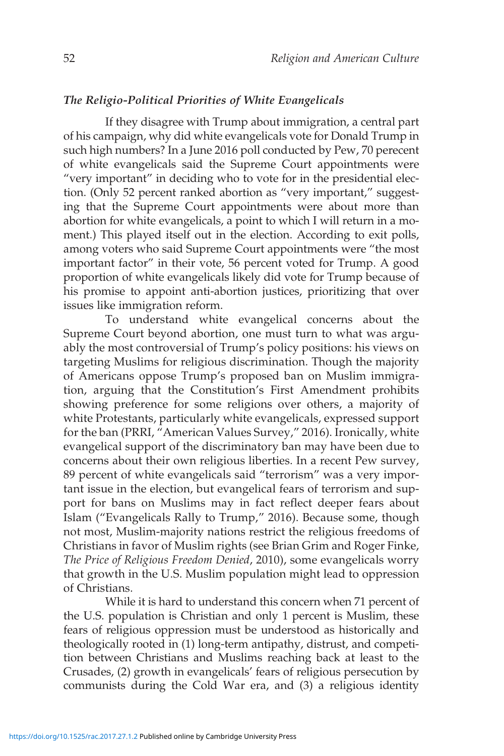### The Religio-Political Priorities of White Evangelicals

If they disagree with Trump about immigration, a central part of his campaign, why did white evangelicals vote for Donald Trump in such high numbers? In a June 2016 poll conducted by Pew, 70 perecent of white evangelicals said the Supreme Court appointments were "very important" in deciding who to vote for in the presidential election. (Only 52 percent ranked abortion as "very important," suggesting that the Supreme Court appointments were about more than abortion for white evangelicals, a point to which I will return in a moment.) This played itself out in the election. According to exit polls, among voters who said Supreme Court appointments were "the most important factor" in their vote, 56 percent voted for Trump. A good proportion of white evangelicals likely did vote for Trump because of his promise to appoint anti-abortion justices, prioritizing that over issues like immigration reform.

To understand white evangelical concerns about the Supreme Court beyond abortion, one must turn to what was arguably the most controversial of Trump's policy positions: his views on targeting Muslims for religious discrimination. Though the majority of Americans oppose Trump's proposed ban on Muslim immigration, arguing that the Constitution's First Amendment prohibits showing preference for some religions over others, a majority of white Protestants, particularly white evangelicals, expressed support for the ban (PRRI, "American Values Survey," 2016). Ironically, white evangelical support of the discriminatory ban may have been due to concerns about their own religious liberties. In a recent Pew survey, 89 percent of white evangelicals said "terrorism" was a very important issue in the election, but evangelical fears of terrorism and support for bans on Muslims may in fact reflect deeper fears about Islam ("Evangelicals Rally to Trump," 2016). Because some, though not most, Muslim-majority nations restrict the religious freedoms of Christians in favor of Muslim rights (see Brian Grim and Roger Finke, The Price of Religious Freedom Denied, 2010), some evangelicals worry that growth in the U.S. Muslim population might lead to oppression of Christians.

While it is hard to understand this concern when 71 percent of the U.S. population is Christian and only 1 percent is Muslim, these fears of religious oppression must be understood as historically and theologically rooted in (1) long-term antipathy, distrust, and competition between Christians and Muslims reaching back at least to the Crusades, (2) growth in evangelicals' fears of religious persecution by communists during the Cold War era, and (3) a religious identity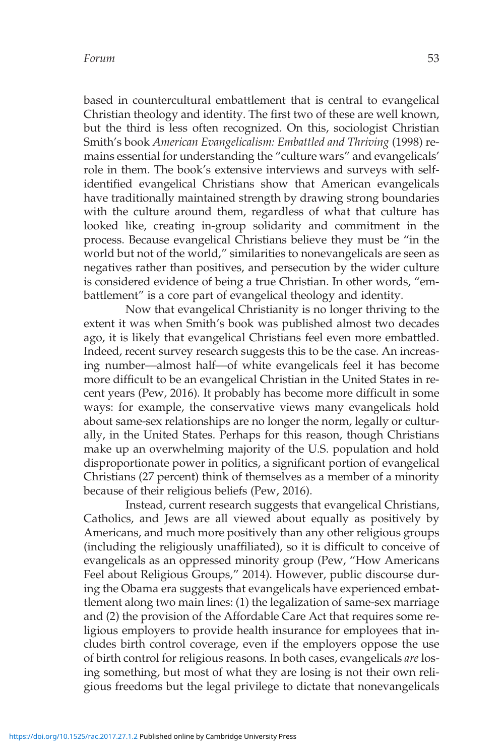based in countercultural embattlement that is central to evangelical Christian theology and identity. The first two of these are well known, but the third is less often recognized. On this, sociologist Christian Smith's book American Evangelicalism: Embattled and Thriving (1998) remains essential for understanding the "culture wars" and evangelicals' role in them. The book's extensive interviews and surveys with selfidentified evangelical Christians show that American evangelicals have traditionally maintained strength by drawing strong boundaries with the culture around them, regardless of what that culture has looked like, creating in-group solidarity and commitment in the process. Because evangelical Christians believe they must be "in the world but not of the world," similarities to nonevangelicals are seen as negatives rather than positives, and persecution by the wider culture is considered evidence of being a true Christian. In other words, "embattlement" is a core part of evangelical theology and identity.

Now that evangelical Christianity is no longer thriving to the extent it was when Smith's book was published almost two decades ago, it is likely that evangelical Christians feel even more embattled. Indeed, recent survey research suggests this to be the case. An increasing number—almost half—of white evangelicals feel it has become more difficult to be an evangelical Christian in the United States in recent years (Pew, 2016). It probably has become more difficult in some ways: for example, the conservative views many evangelicals hold about same-sex relationships are no longer the norm, legally or culturally, in the United States. Perhaps for this reason, though Christians make up an overwhelming majority of the U.S. population and hold disproportionate power in politics, a significant portion of evangelical Christians (27 percent) think of themselves as a member of a minority because of their religious beliefs (Pew, 2016).

Instead, current research suggests that evangelical Christians, Catholics, and Jews are all viewed about equally as positively by Americans, and much more positively than any other religious groups (including the religiously unaffiliated), so it is difficult to conceive of evangelicals as an oppressed minority group (Pew, "How Americans Feel about Religious Groups," 2014). However, public discourse during the Obama era suggests that evangelicals have experienced embattlement along two main lines: (1) the legalization of same-sex marriage and (2) the provision of the Affordable Care Act that requires some religious employers to provide health insurance for employees that includes birth control coverage, even if the employers oppose the use of birth control for religious reasons. In both cases, evangelicals are losing something, but most of what they are losing is not their own religious freedoms but the legal privilege to dictate that nonevangelicals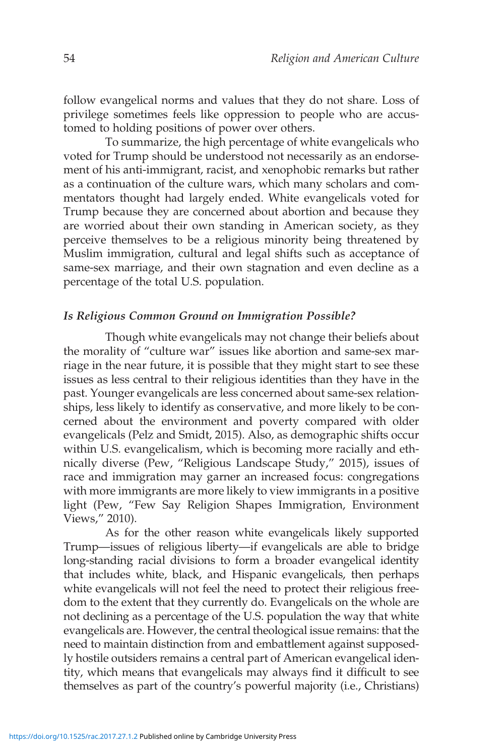follow evangelical norms and values that they do not share. Loss of privilege sometimes feels like oppression to people who are accustomed to holding positions of power over others.

To summarize, the high percentage of white evangelicals who voted for Trump should be understood not necessarily as an endorsement of his anti-immigrant, racist, and xenophobic remarks but rather as a continuation of the culture wars, which many scholars and commentators thought had largely ended. White evangelicals voted for Trump because they are concerned about abortion and because they are worried about their own standing in American society, as they perceive themselves to be a religious minority being threatened by Muslim immigration, cultural and legal shifts such as acceptance of same-sex marriage, and their own stagnation and even decline as a percentage of the total U.S. population.

### Is Religious Common Ground on Immigration Possible?

Though white evangelicals may not change their beliefs about the morality of "culture war" issues like abortion and same-sex marriage in the near future, it is possible that they might start to see these issues as less central to their religious identities than they have in the past. Younger evangelicals are less concerned about same-sex relationships, less likely to identify as conservative, and more likely to be concerned about the environment and poverty compared with older evangelicals (Pelz and Smidt, 2015). Also, as demographic shifts occur within U.S. evangelicalism, which is becoming more racially and ethnically diverse (Pew, "Religious Landscape Study," 2015), issues of race and immigration may garner an increased focus: congregations with more immigrants are more likely to view immigrants in a positive light (Pew, "Few Say Religion Shapes Immigration, Environment Views," 2010).

As for the other reason white evangelicals likely supported Trump—issues of religious liberty—if evangelicals are able to bridge long-standing racial divisions to form a broader evangelical identity that includes white, black, and Hispanic evangelicals, then perhaps white evangelicals will not feel the need to protect their religious freedom to the extent that they currently do. Evangelicals on the whole are not declining as a percentage of the U.S. population the way that white evangelicals are. However, the central theological issue remains: that the need to maintain distinction from and embattlement against supposedly hostile outsiders remains a central part of American evangelical identity, which means that evangelicals may always find it difficult to see themselves as part of the country's powerful majority (i.e., Christians)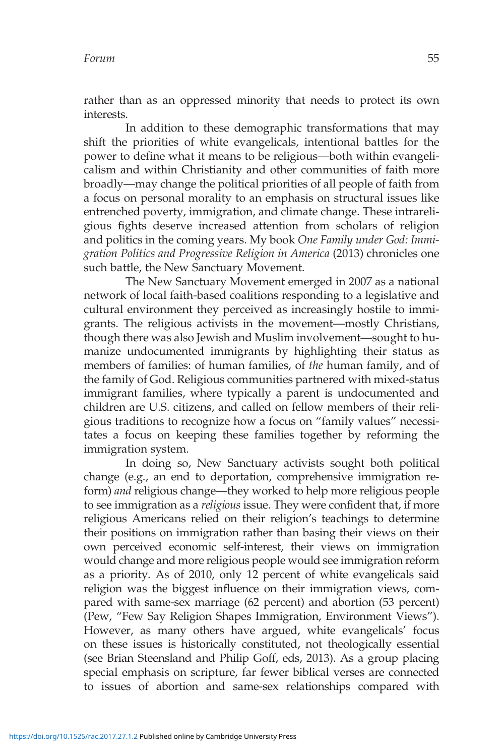rather than as an oppressed minority that needs to protect its own interests.

In addition to these demographic transformations that may shift the priorities of white evangelicals, intentional battles for the power to define what it means to be religious—both within evangelicalism and within Christianity and other communities of faith more broadly—may change the political priorities of all people of faith from a focus on personal morality to an emphasis on structural issues like entrenched poverty, immigration, and climate change. These intrareligious fights deserve increased attention from scholars of religion and politics in the coming years. My book One Family under God: Immigration Politics and Progressive Religion in America (2013) chronicles one such battle, the New Sanctuary Movement.

The New Sanctuary Movement emerged in 2007 as a national network of local faith-based coalitions responding to a legislative and cultural environment they perceived as increasingly hostile to immigrants. The religious activists in the movement—mostly Christians, though there was also Jewish and Muslim involvement—sought to humanize undocumented immigrants by highlighting their status as members of families: of human families, of the human family, and of the family of God. Religious communities partnered with mixed-status immigrant families, where typically a parent is undocumented and children are U.S. citizens, and called on fellow members of their religious traditions to recognize how a focus on "family values" necessitates a focus on keeping these families together by reforming the immigration system.

In doing so, New Sanctuary activists sought both political change (e.g., an end to deportation, comprehensive immigration reform) and religious change—they worked to help more religious people to see immigration as a *religious* issue. They were confident that, if more religious Americans relied on their religion's teachings to determine their positions on immigration rather than basing their views on their own perceived economic self-interest, their views on immigration would change and more religious people would see immigration reform as a priority. As of 2010, only 12 percent of white evangelicals said religion was the biggest influence on their immigration views, compared with same-sex marriage (62 percent) and abortion (53 percent) (Pew, "Few Say Religion Shapes Immigration, Environment Views"). However, as many others have argued, white evangelicals' focus on these issues is historically constituted, not theologically essential (see Brian Steensland and Philip Goff, eds, 2013). As a group placing special emphasis on scripture, far fewer biblical verses are connected to issues of abortion and same-sex relationships compared with